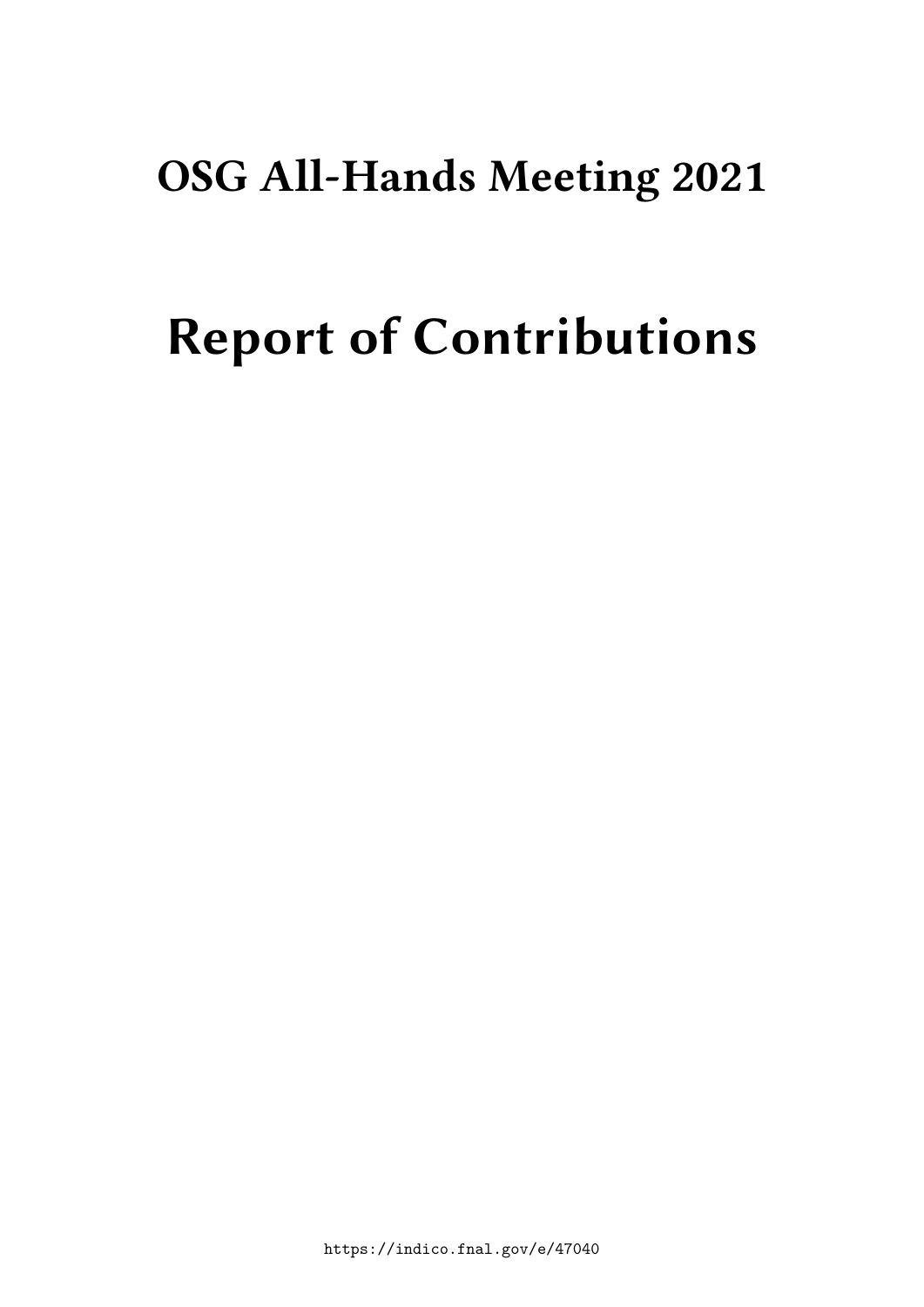## **OSG All-Hands Meeting 2021**

# **Report of Contributions**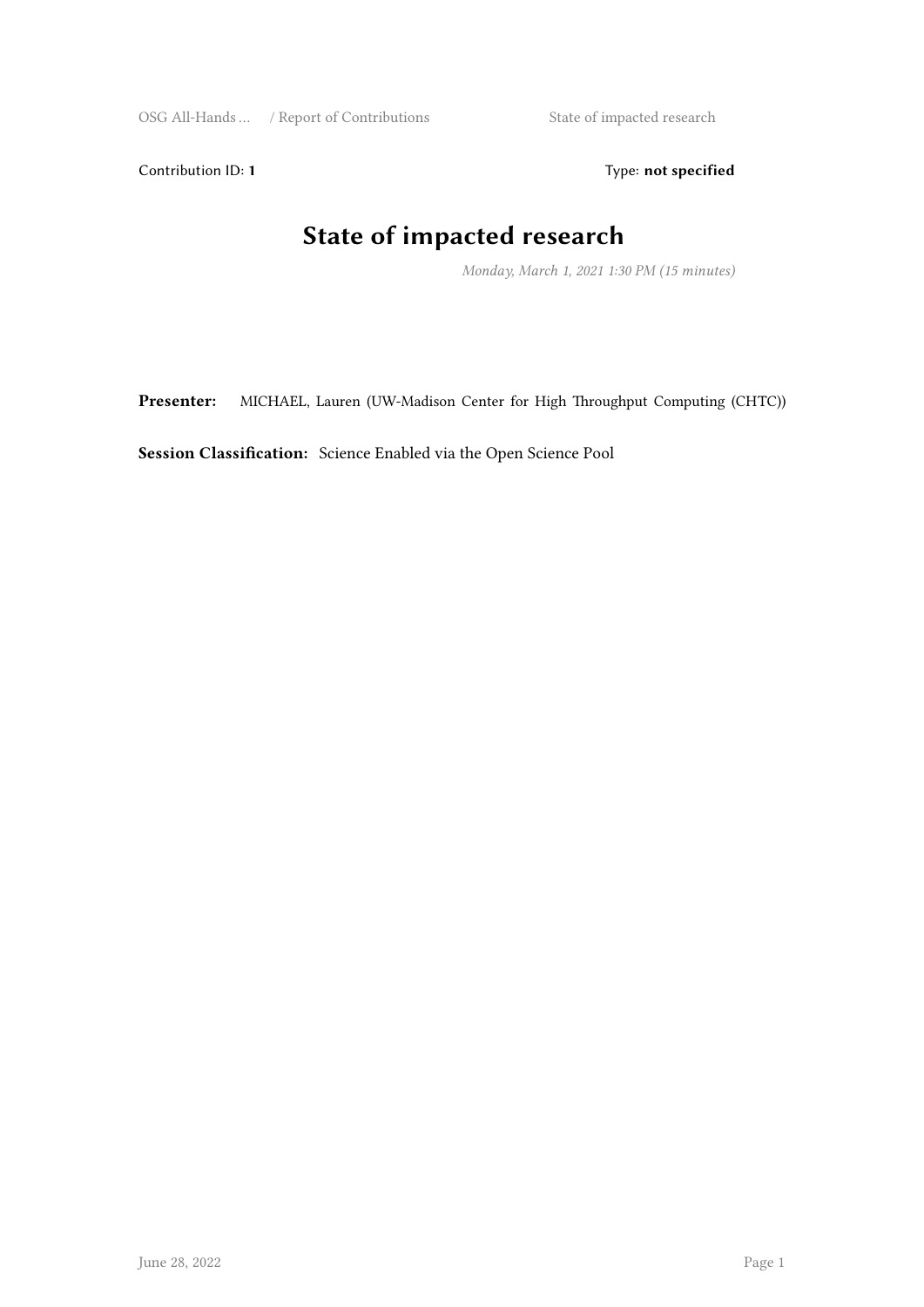Contribution ID: 1 Type: **not specified** 

## **State of impacted research**

*Monday, March 1, 2021 1:30 PM (15 minutes)*

**Presenter:** MICHAEL, Lauren (UW-Madison Center for High Throughput Computing (CHTC))

**Session Classification:** Science Enabled via the Open Science Pool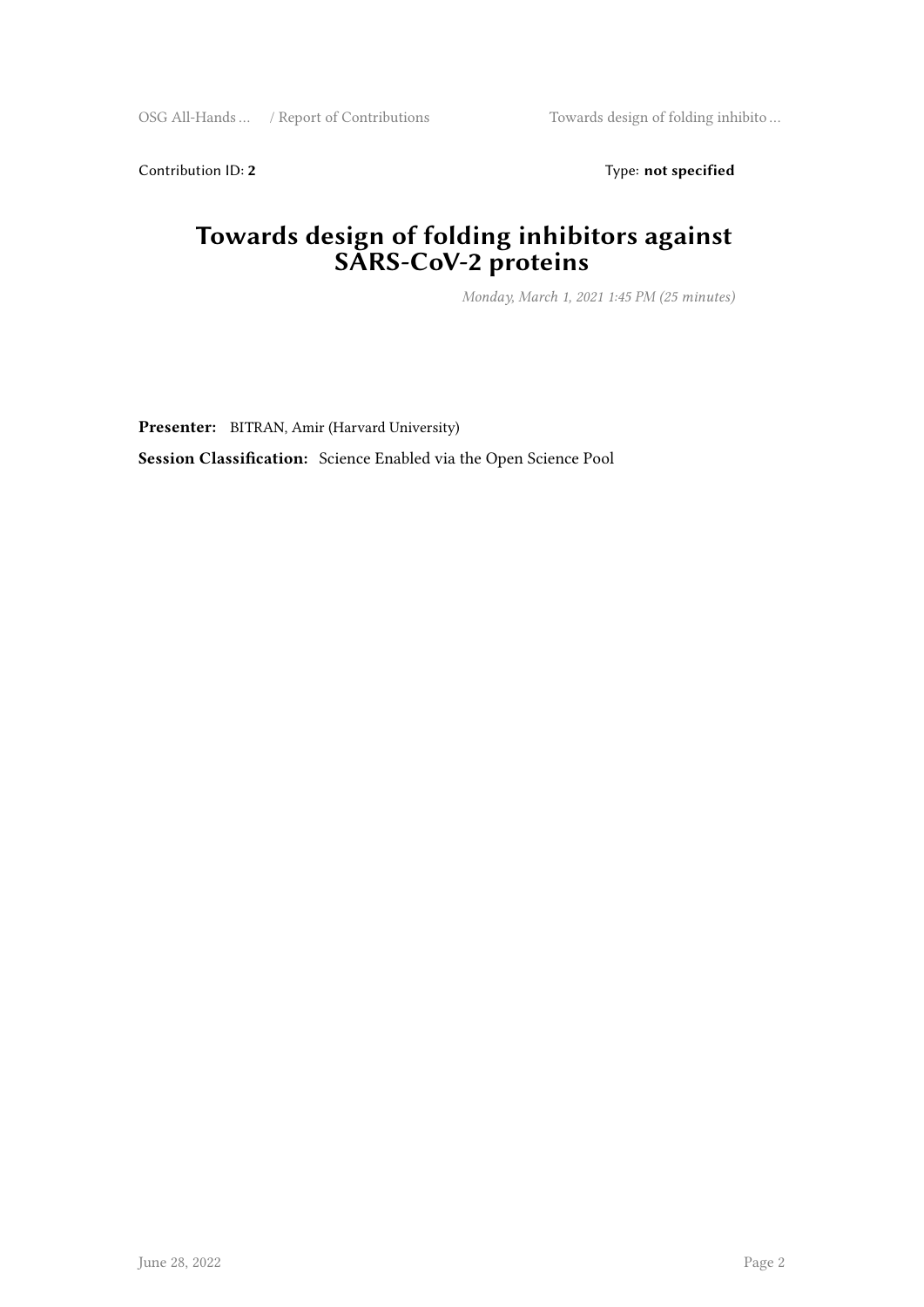Contribution ID: 2 Type: not specified

#### **Towards design of folding inhibitors against SARS-CoV-2 proteins**

*Monday, March 1, 2021 1:45 PM (25 minutes)*

**Presenter:** BITRAN, Amir (Harvard University)

**Session Classification:** Science Enabled via the Open Science Pool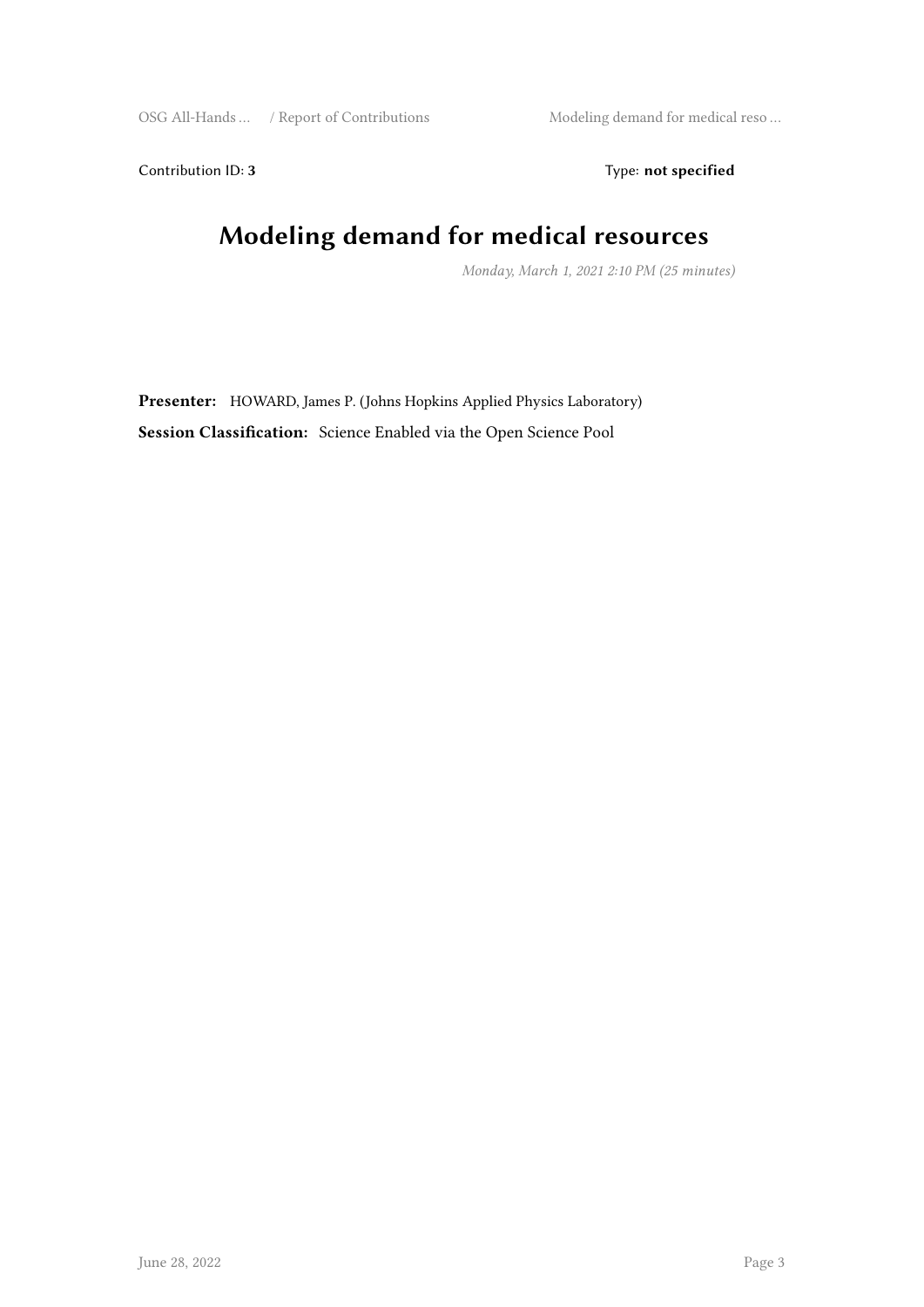Contribution ID: 3 Type: **not specified** 

## **Modeling demand for medical resources**

*Monday, March 1, 2021 2:10 PM (25 minutes)*

**Presenter:** HOWARD, James P. (Johns Hopkins Applied Physics Laboratory) **Session Classification:** Science Enabled via the Open Science Pool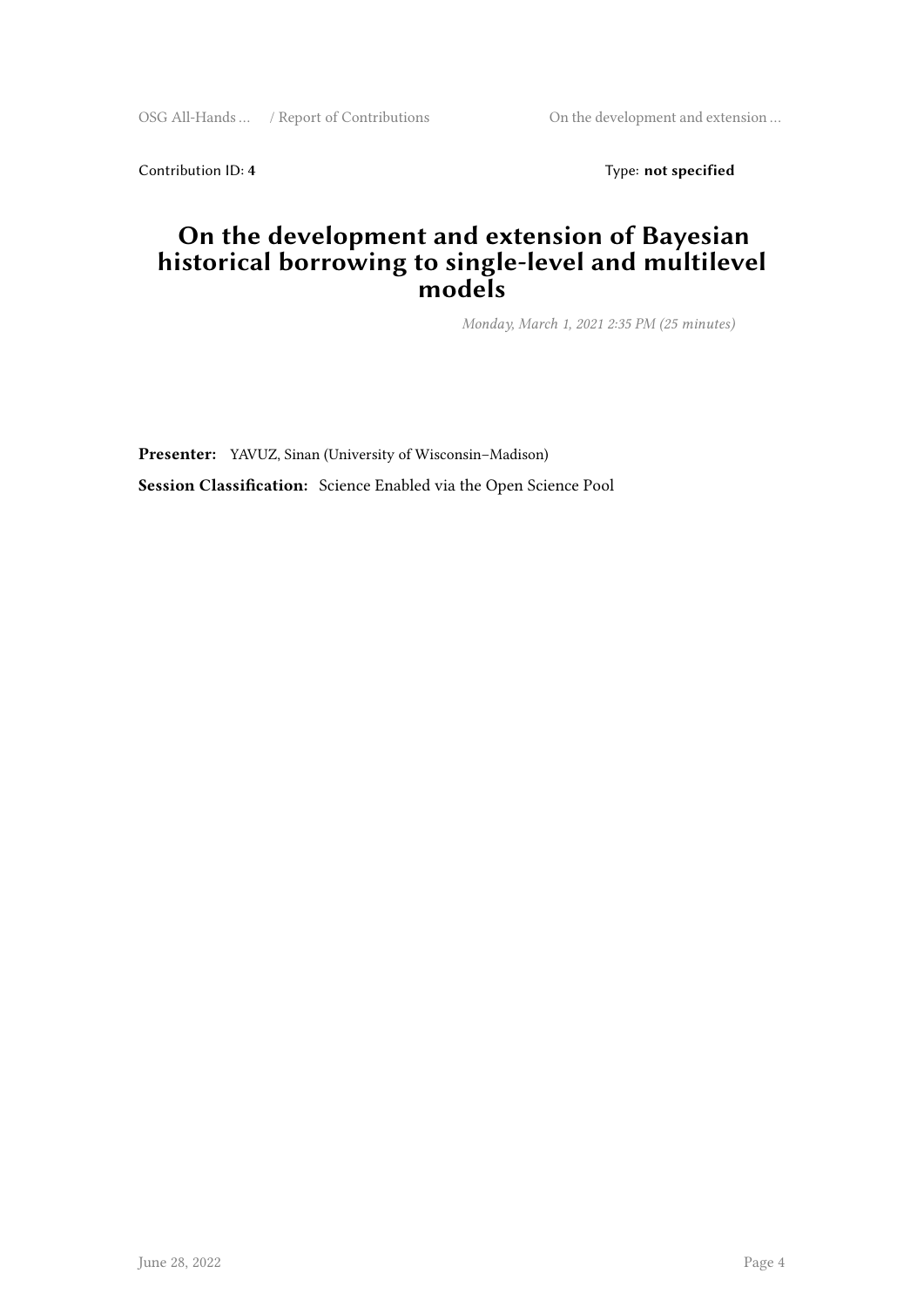OSG All-Hands … / Report of Contributions On the development and extension …

Contribution ID: 4 Type: **not specified** 

#### **On the development and extension of Bayesian historical borrowing to single-level and multilevel models**

*Monday, March 1, 2021 2:35 PM (25 minutes)*

**Presenter:** YAVUZ, Sinan (University of Wisconsin–Madison) **Session Classification:** Science Enabled via the Open Science Pool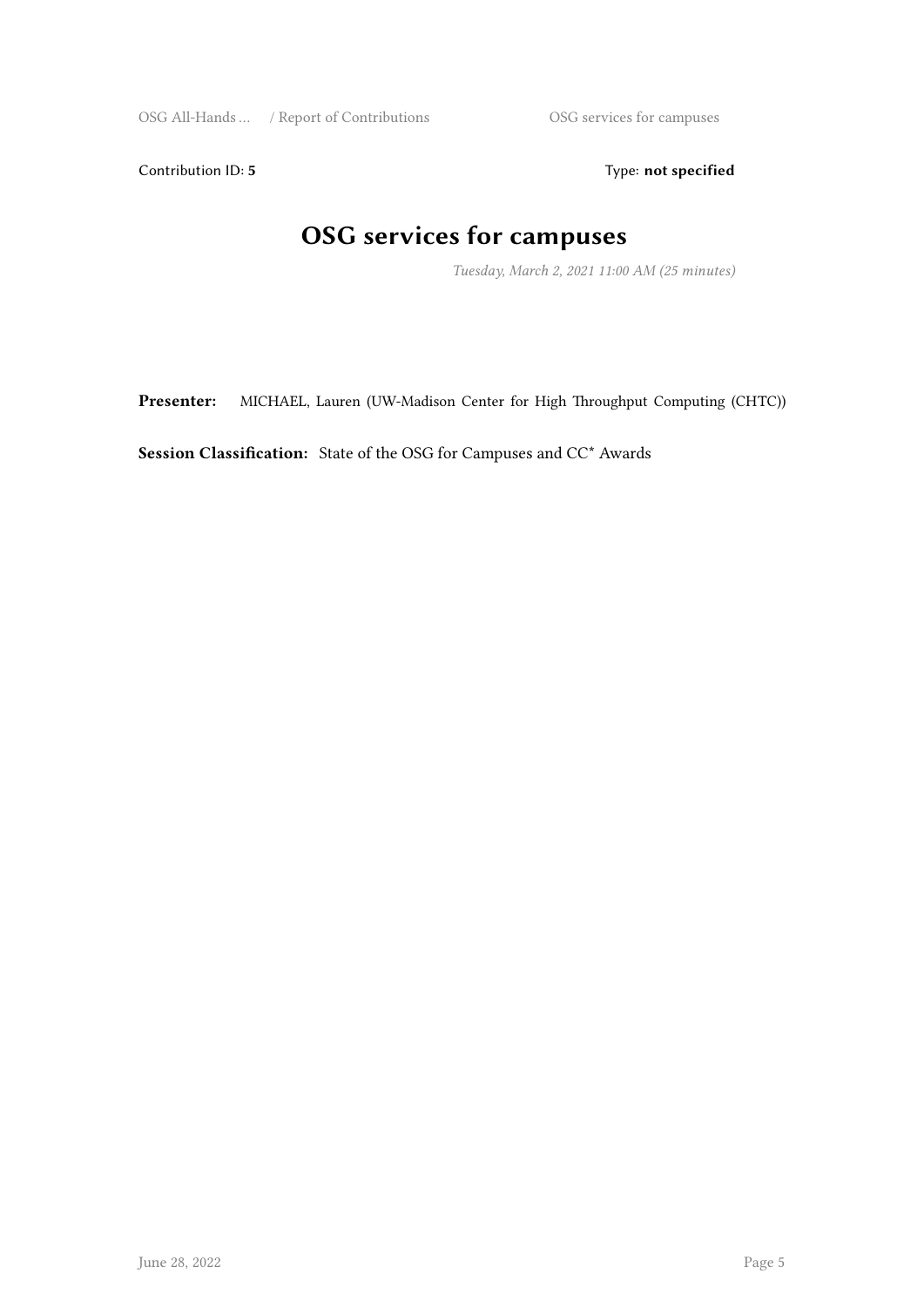Contribution ID: 5 Type: not specified

## **OSG services for campuses**

*Tuesday, March 2, 2021 11:00 AM (25 minutes)*

**Presenter:** MICHAEL, Lauren (UW-Madison Center for High Throughput Computing (CHTC))

**Session Classification:** State of the OSG for Campuses and CC\* Awards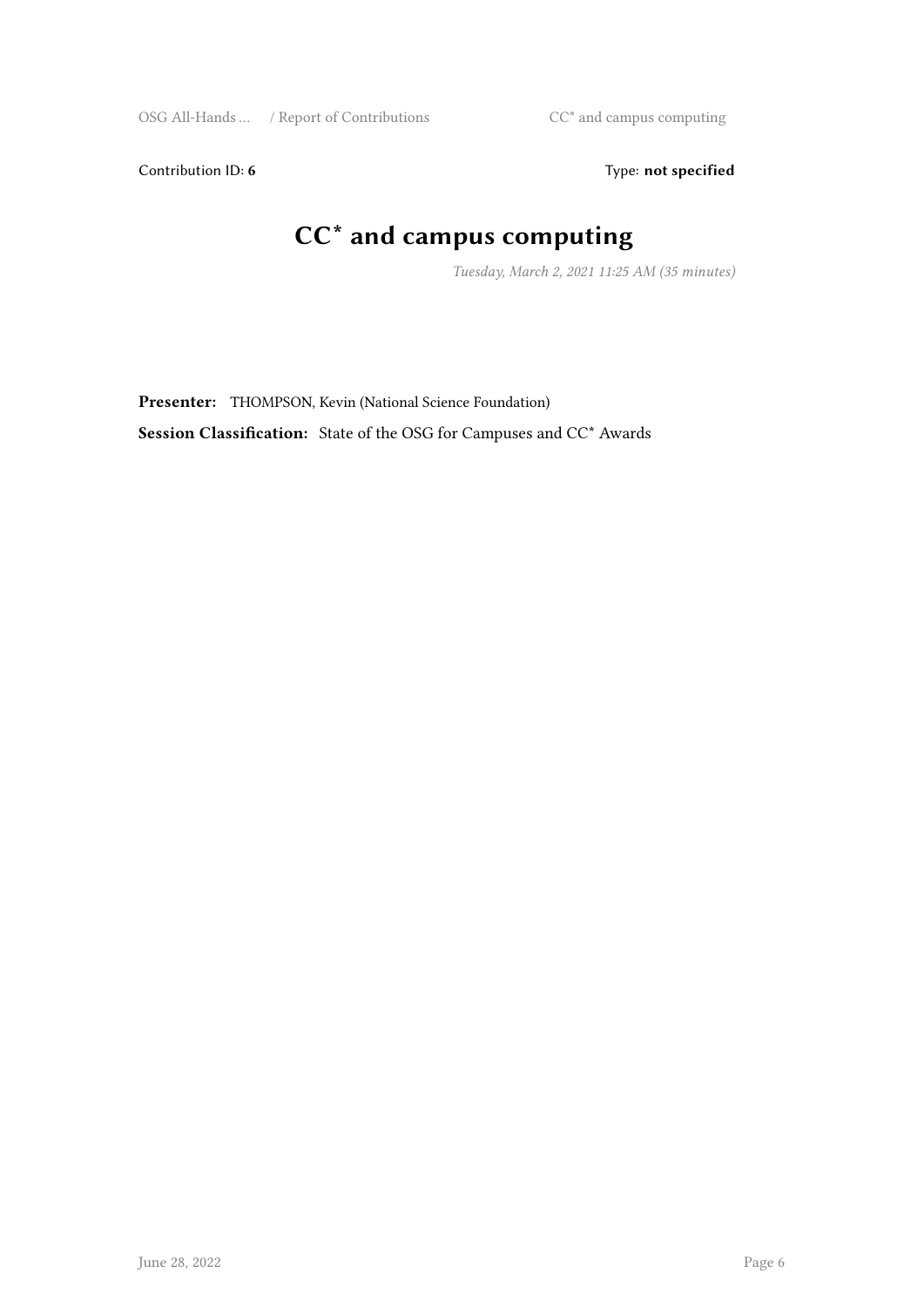Contribution ID: 6 Type: not specified

## **CC\* and campus computing**

*Tuesday, March 2, 2021 11:25 AM (35 minutes)*

**Presenter:** THOMPSON, Kevin (National Science Foundation) **Session Classification:** State of the OSG for Campuses and CC\* Awards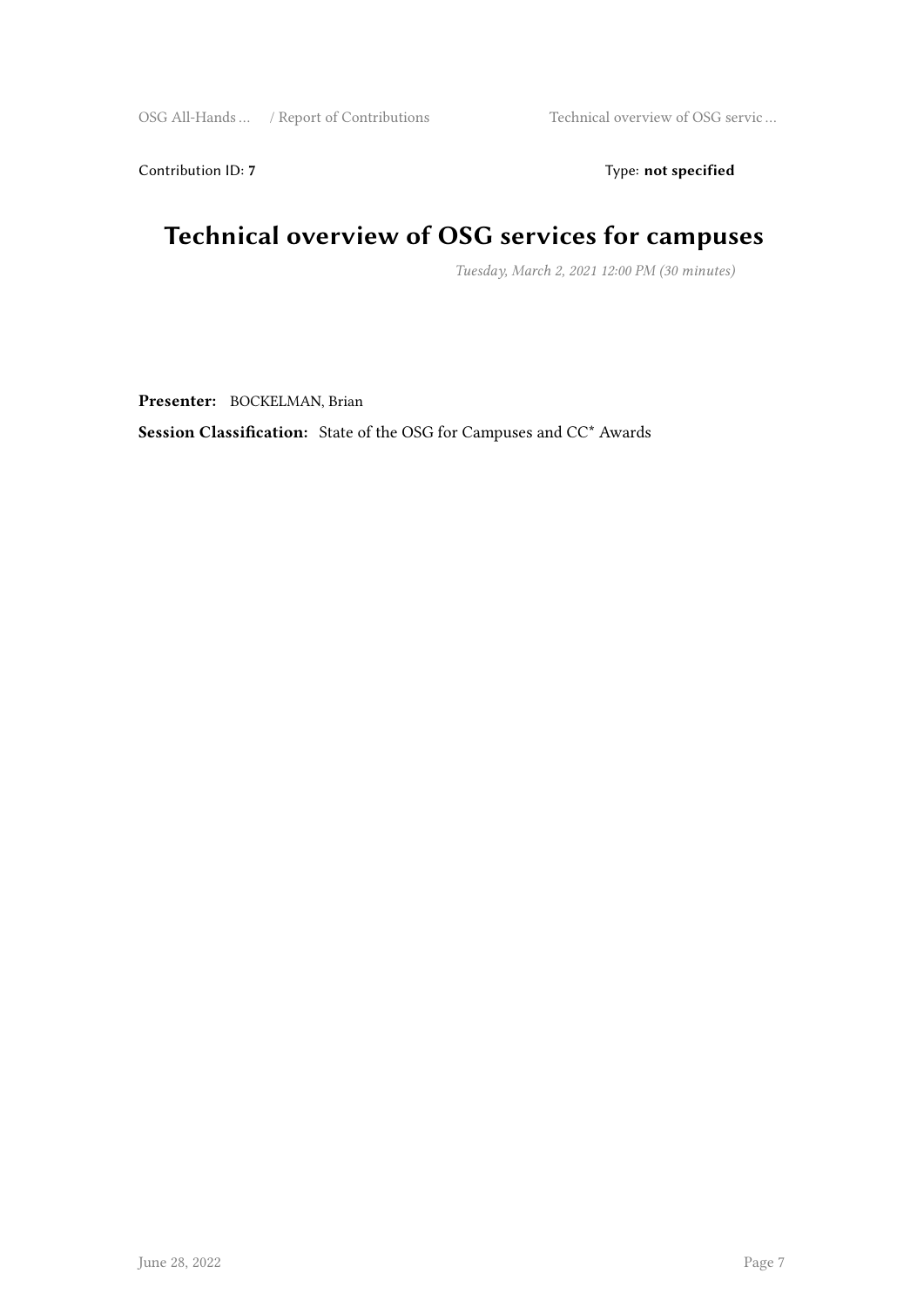Contribution ID: 7 Type: **not specified** 

## **Technical overview of OSG services for campuses**

*Tuesday, March 2, 2021 12:00 PM (30 minutes)*

**Presenter:** BOCKELMAN, Brian

**Session Classification:** State of the OSG for Campuses and CC\* Awards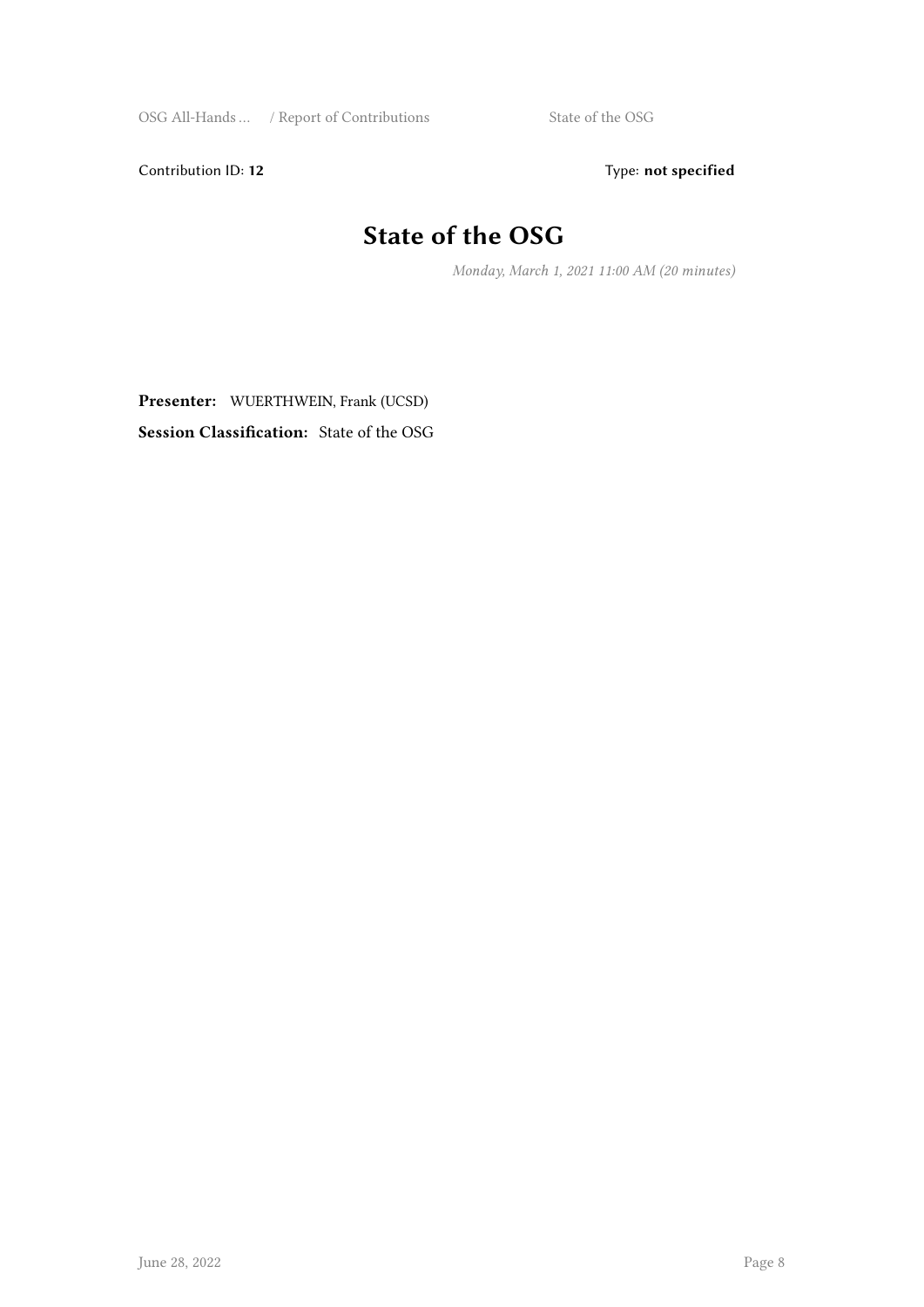Contribution ID: 12 Type: **not specified** 

## **State of the OSG**

*Monday, March 1, 2021 11:00 AM (20 minutes)*

**Presenter:** WUERTHWEIN, Frank (UCSD) **Session Classification:** State of the OSG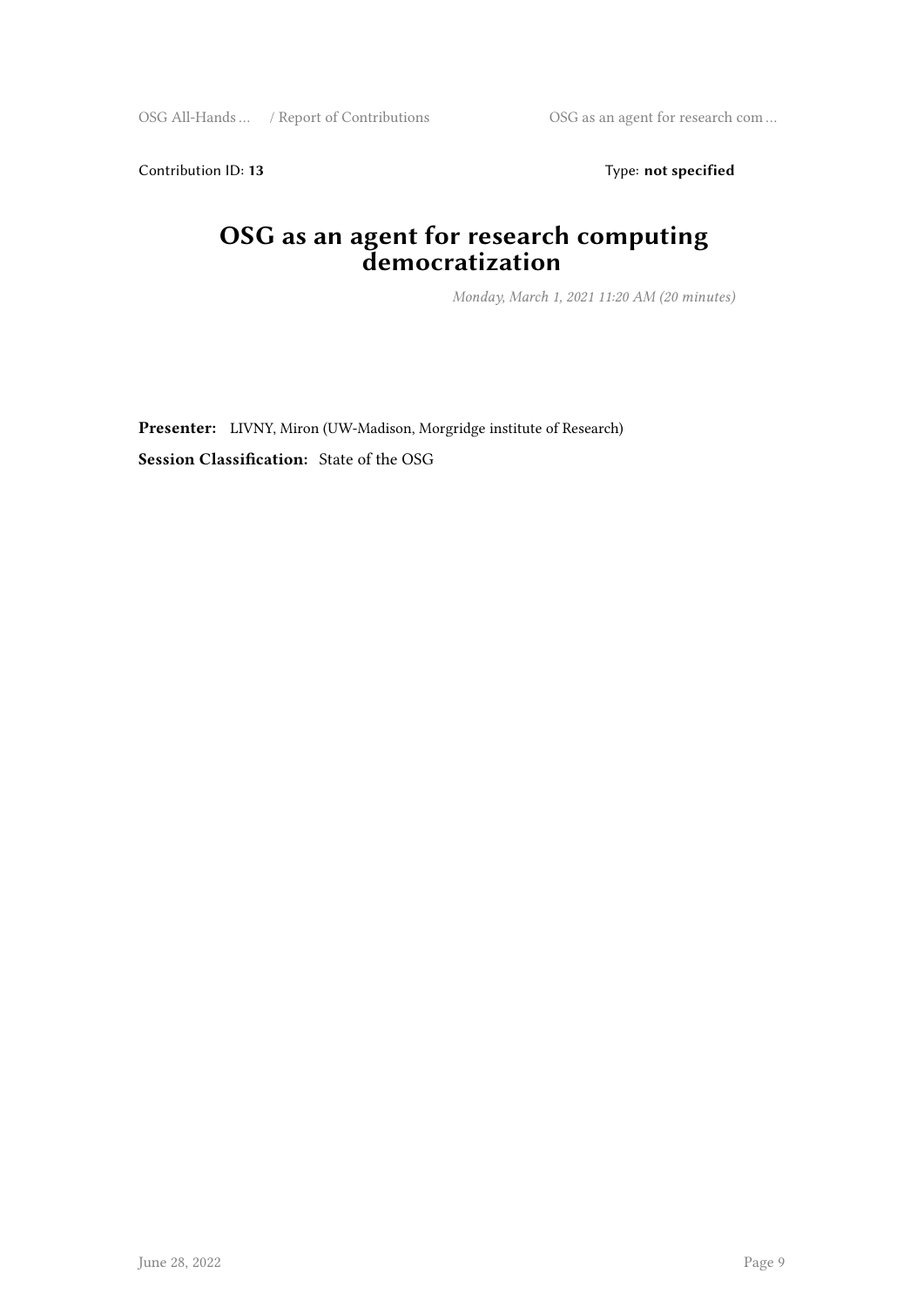Contribution ID: 13 Type: **not specified** 

#### **OSG as an agent for research computing democratization**

*Monday, March 1, 2021 11:20 AM (20 minutes)*

**Presenter:** LIVNY, Miron (UW-Madison, Morgridge institute of Research) **Session Classification:** State of the OSG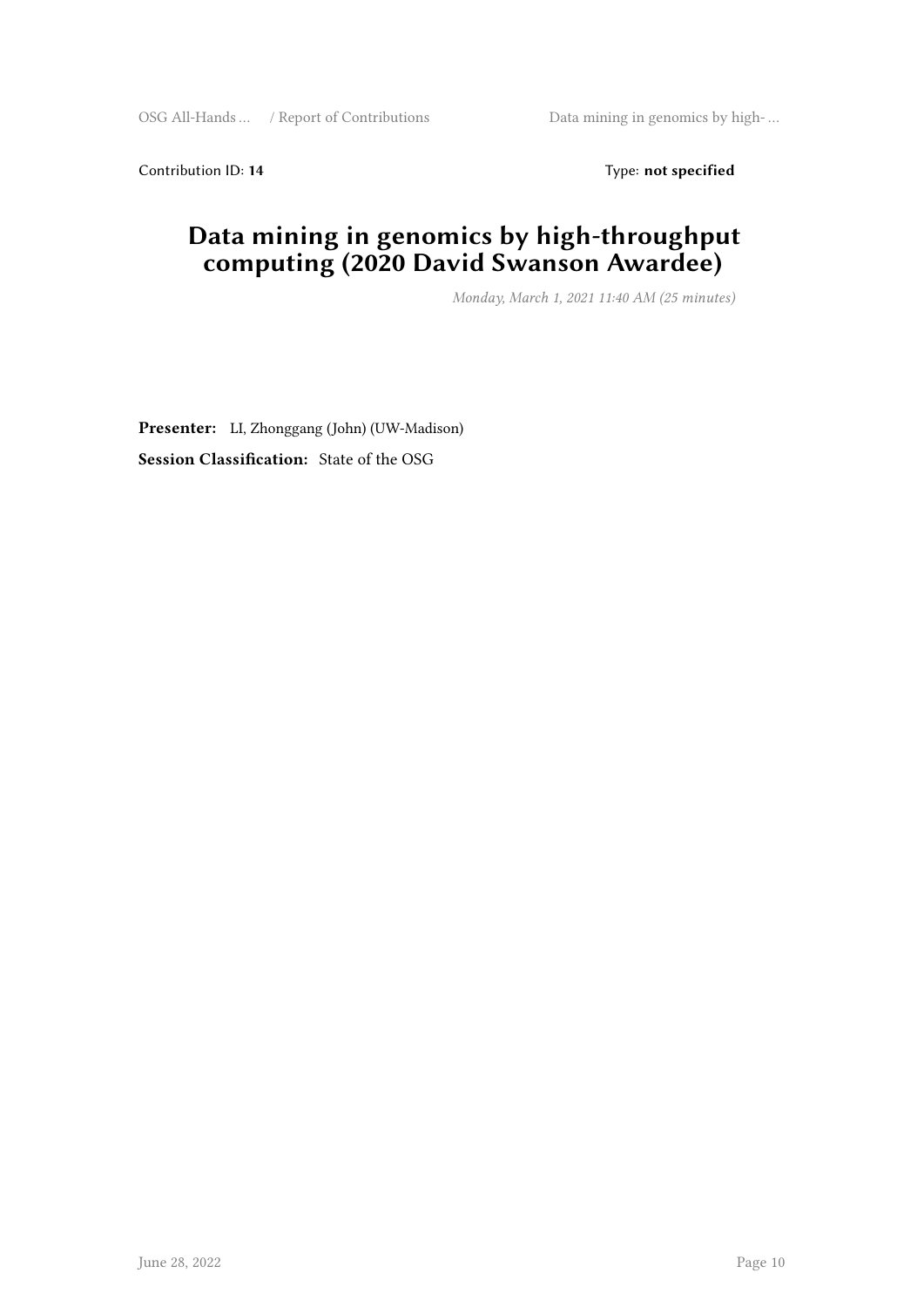Contribution ID: 14 Type: **not specified** 

#### **Data mining in genomics by high-throughput computing (2020 David Swanson Awardee)**

*Monday, March 1, 2021 11:40 AM (25 minutes)*

**Presenter:** LI, Zhonggang (John) (UW-Madison) **Session Classification:** State of the OSG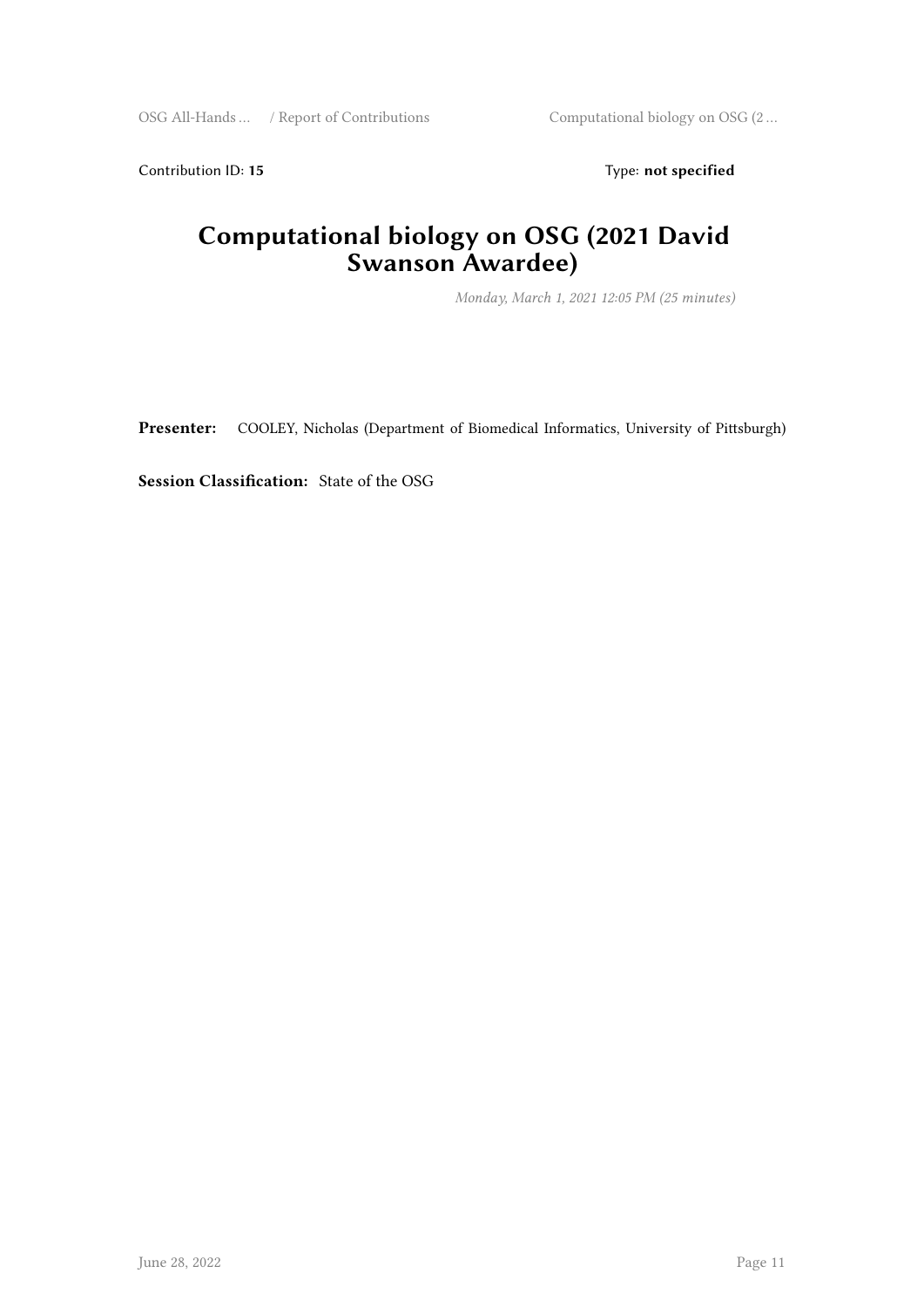Contribution ID: 15 Type: **not specified** 

#### **Computational biology on OSG (2021 David Swanson Awardee)**

*Monday, March 1, 2021 12:05 PM (25 minutes)*

**Presenter:** COOLEY, Nicholas (Department of Biomedical Informatics, University of Pittsburgh)

**Session Classification:** State of the OSG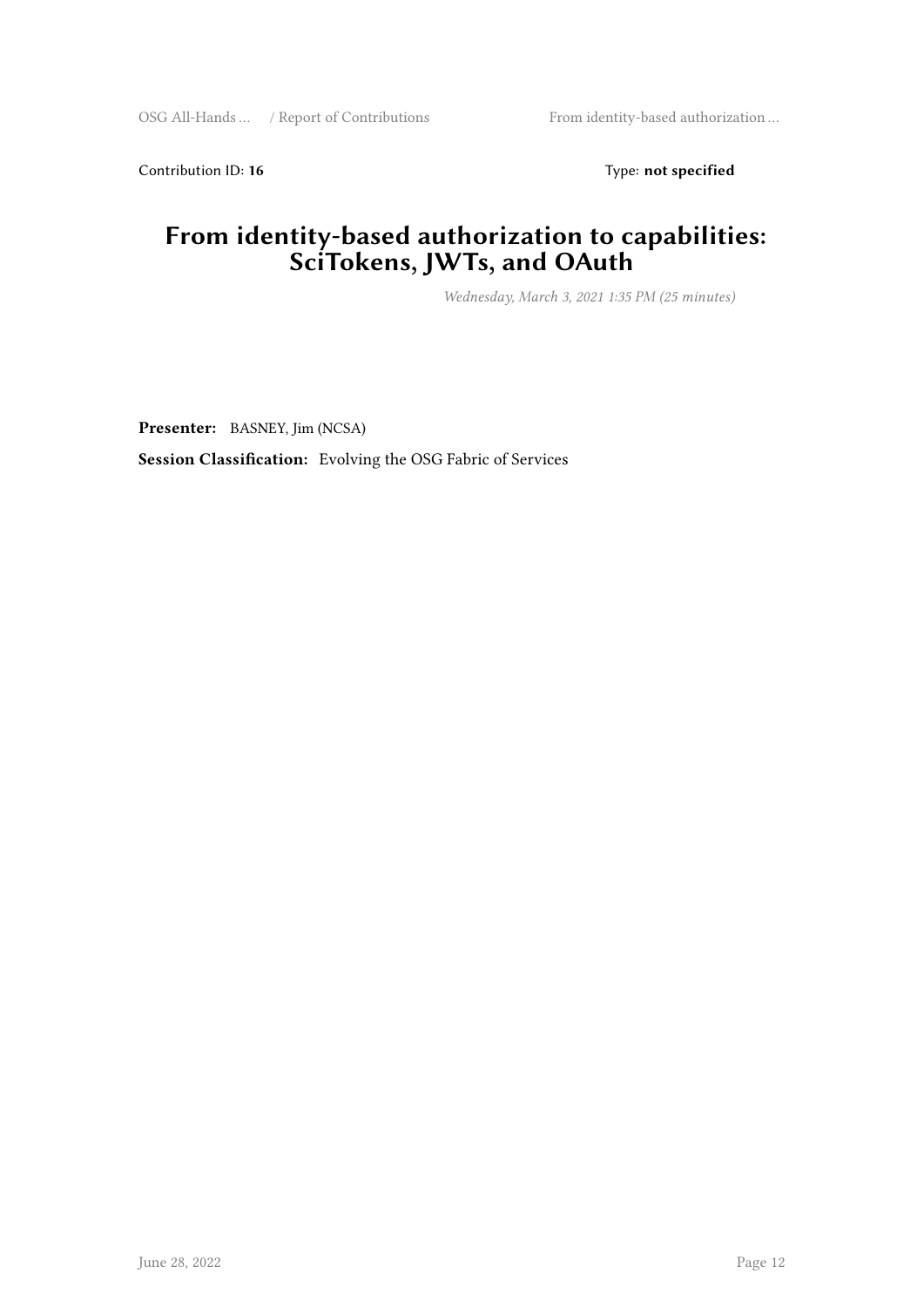Contribution ID: 16 Type: **not specified** 

#### **From identity-based authorization to capabilities: SciTokens, JWTs, and OAuth**

*Wednesday, March 3, 2021 1:35 PM (25 minutes)*

**Presenter:** BASNEY, Jim (NCSA)

**Session Classification:** Evolving the OSG Fabric of Services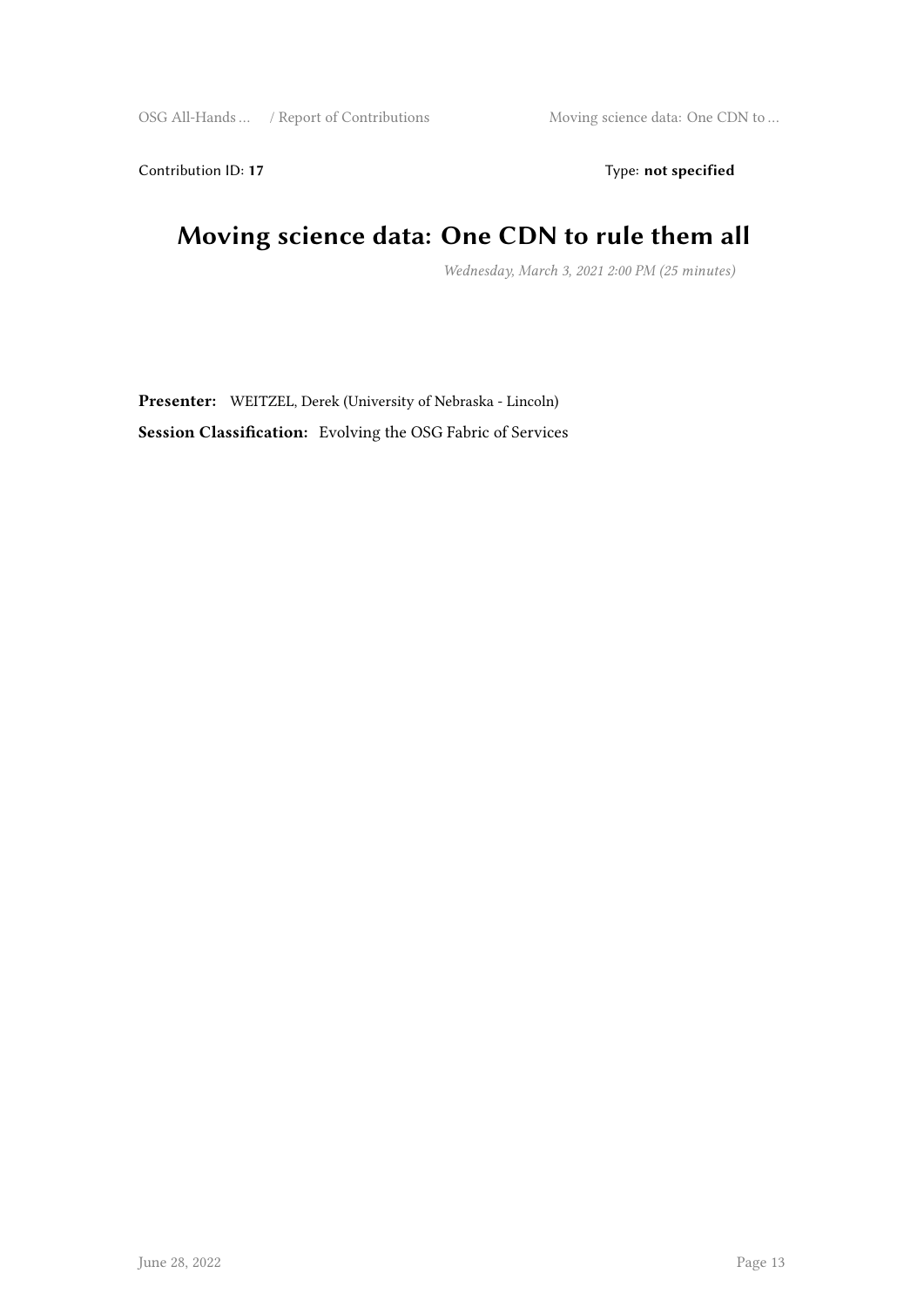Contribution ID: 17 Type: **not specified** 

## **Moving science data: One CDN to rule them all**

*Wednesday, March 3, 2021 2:00 PM (25 minutes)*

**Presenter:** WEITZEL, Derek (University of Nebraska - Lincoln) **Session Classification:** Evolving the OSG Fabric of Services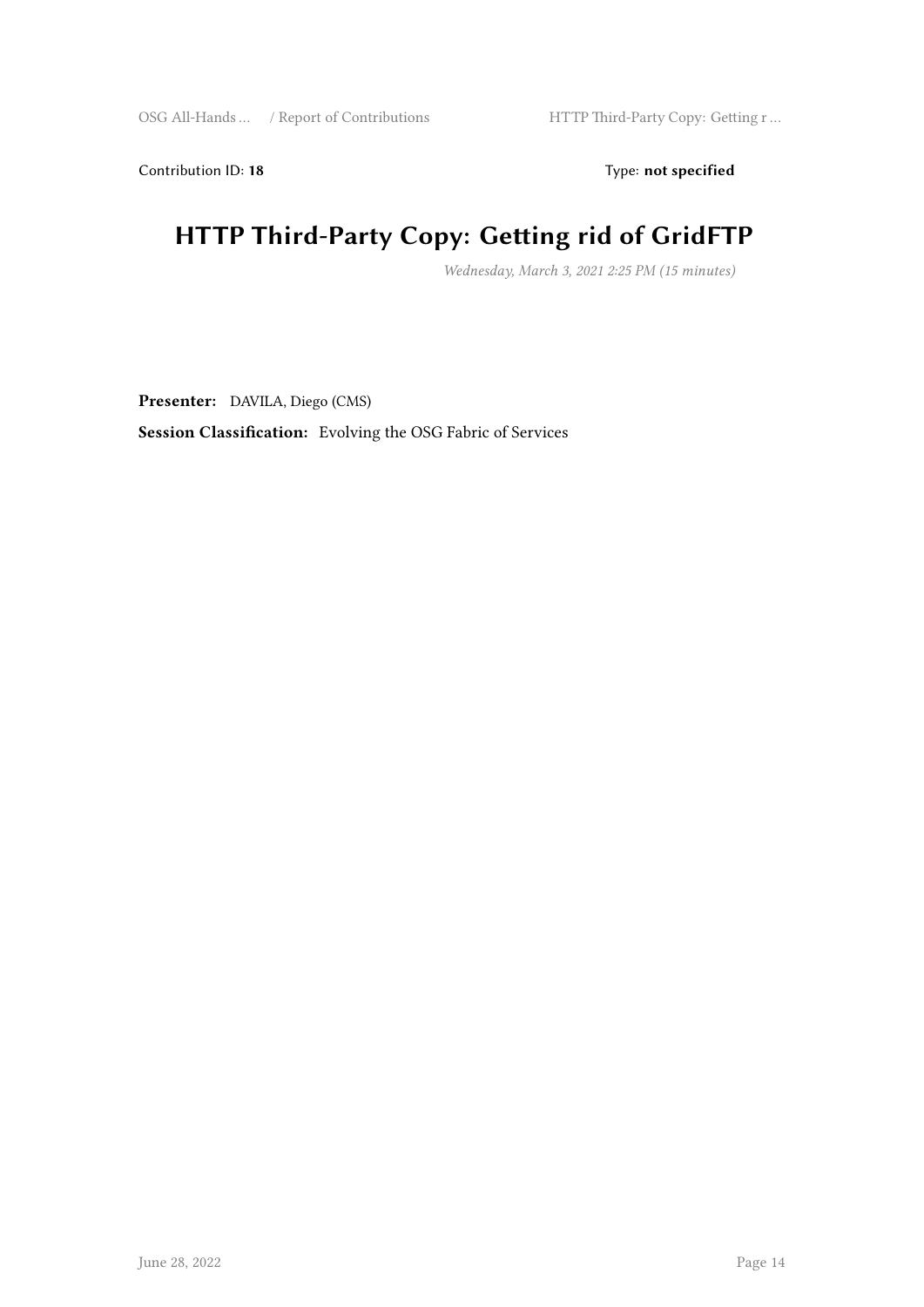Contribution ID: 18 Type: **not specified** 

## **HTTP Third-Party Copy: Getting rid of GridFTP**

*Wednesday, March 3, 2021 2:25 PM (15 minutes)*

**Presenter:** DAVILA, Diego (CMS)

**Session Classification:** Evolving the OSG Fabric of Services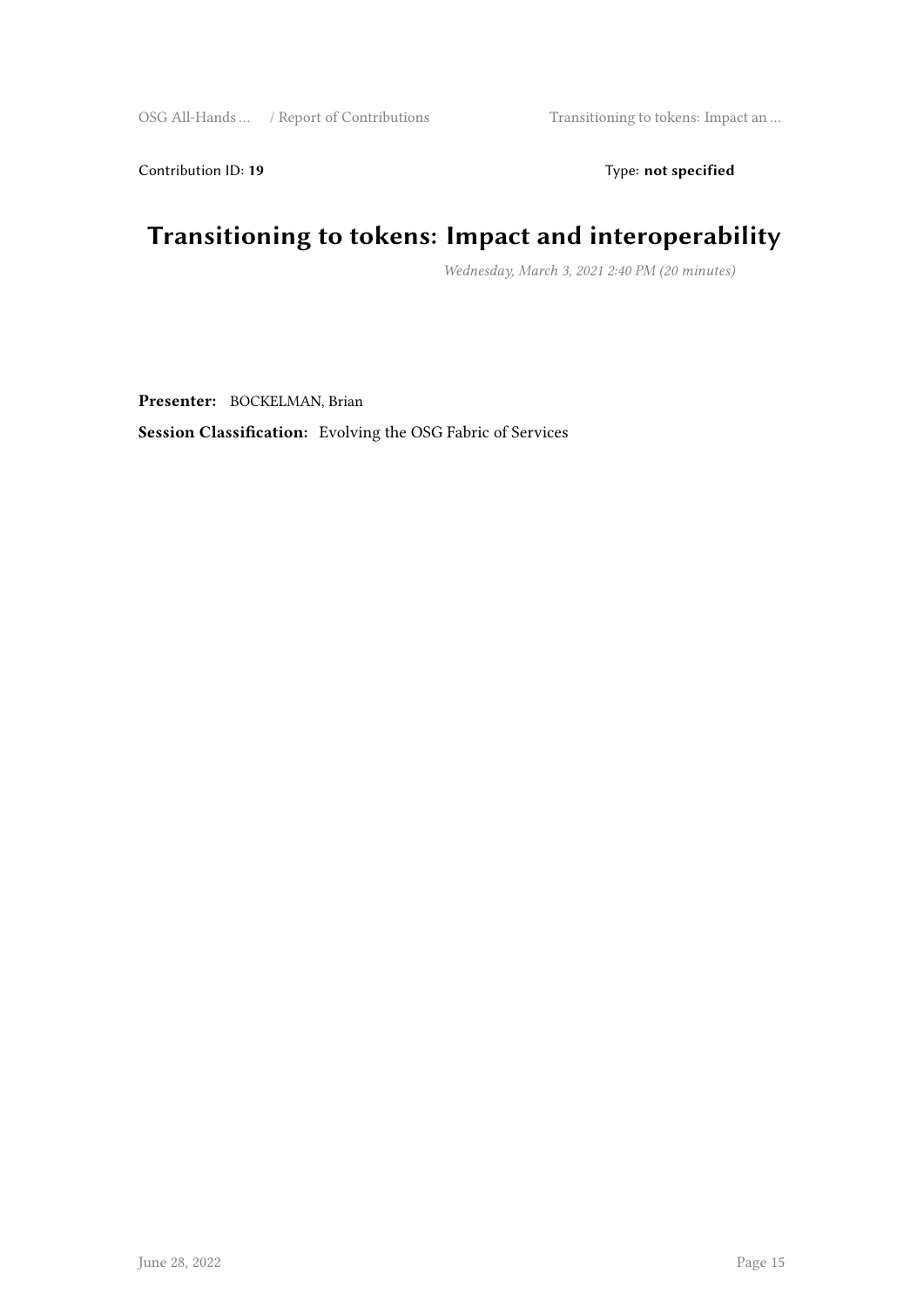Contribution ID: 19 Type: **not specified** 

## **Transitioning to tokens: Impact and interoperability**

*Wednesday, March 3, 2021 2:40 PM (20 minutes)*

**Presenter:** BOCKELMAN, Brian

**Session Classification:** Evolving the OSG Fabric of Services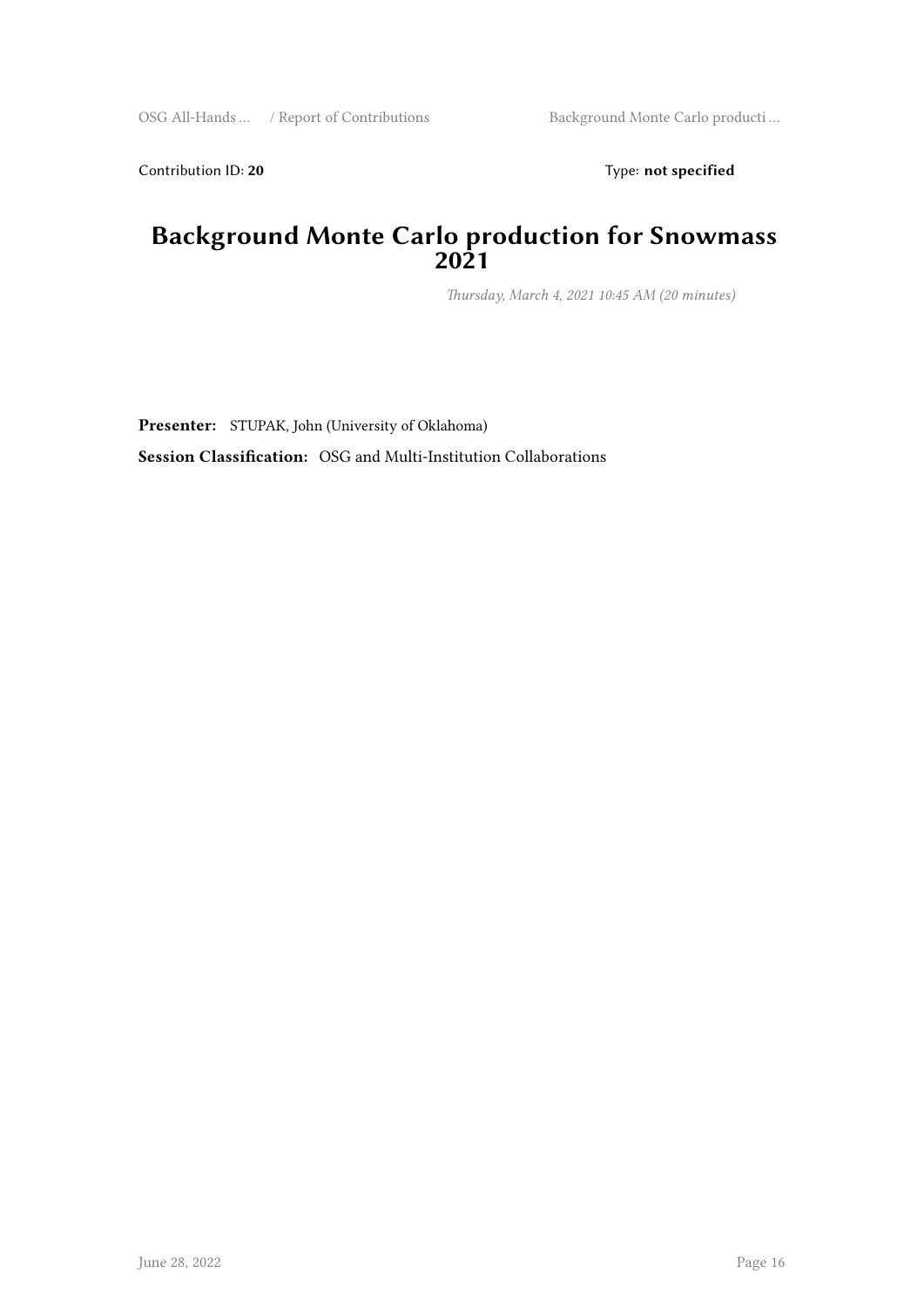Contribution ID: 20 Type: **not specified** 

#### **Background Monte Carlo production for Snowmass 2021**

*Thursday, March 4, 2021 10:45 AM (20 minutes)*

**Presenter:** STUPAK, John (University of Oklahoma) **Session Classification:** OSG and Multi-Institution Collaborations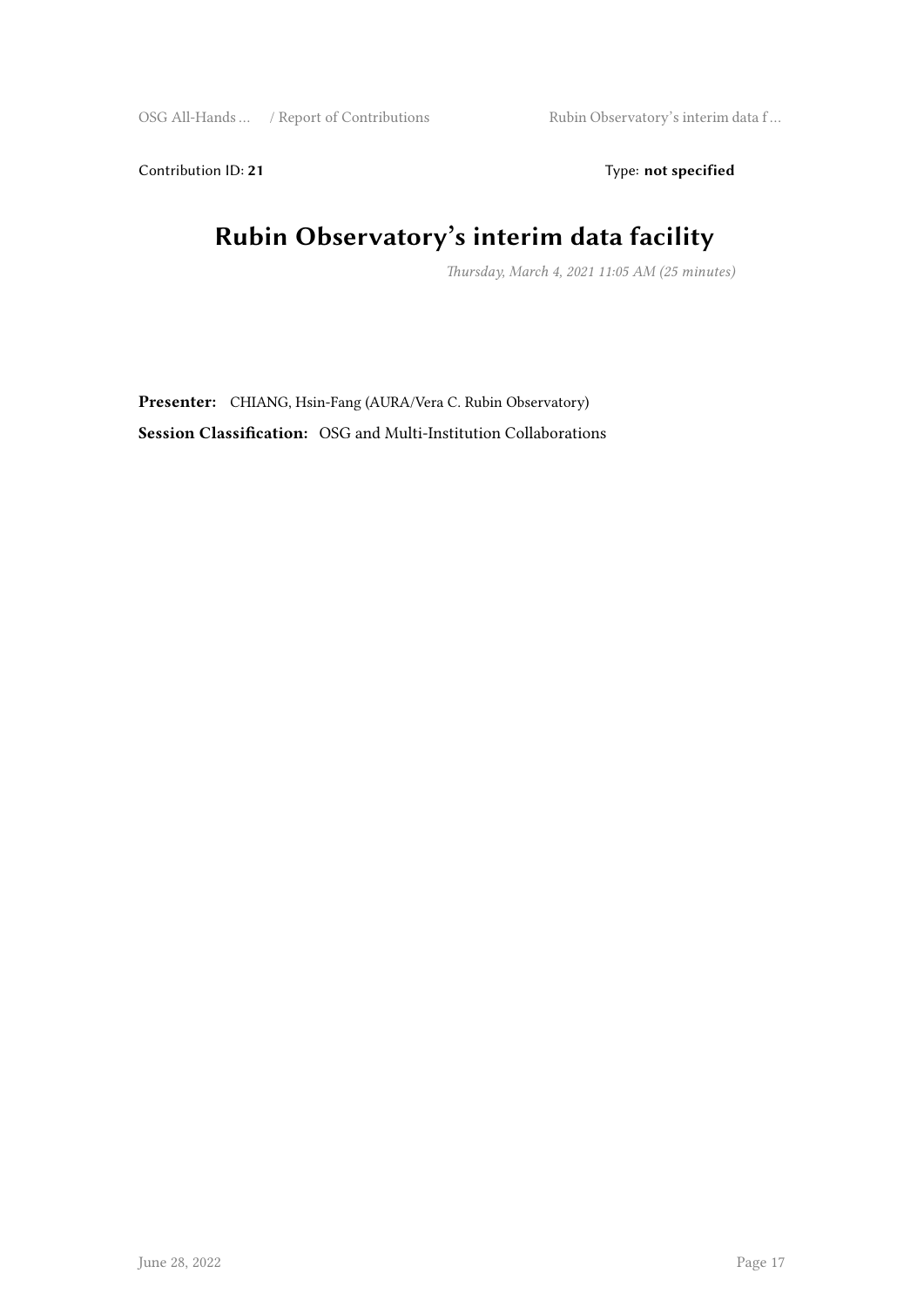Contribution ID: 21 Type: **not specified** 

## **Rubin Observatory's interim data facility**

*Thursday, March 4, 2021 11:05 AM (25 minutes)*

**Presenter:** CHIANG, Hsin-Fang (AURA/Vera C. Rubin Observatory) **Session Classification:** OSG and Multi-Institution Collaborations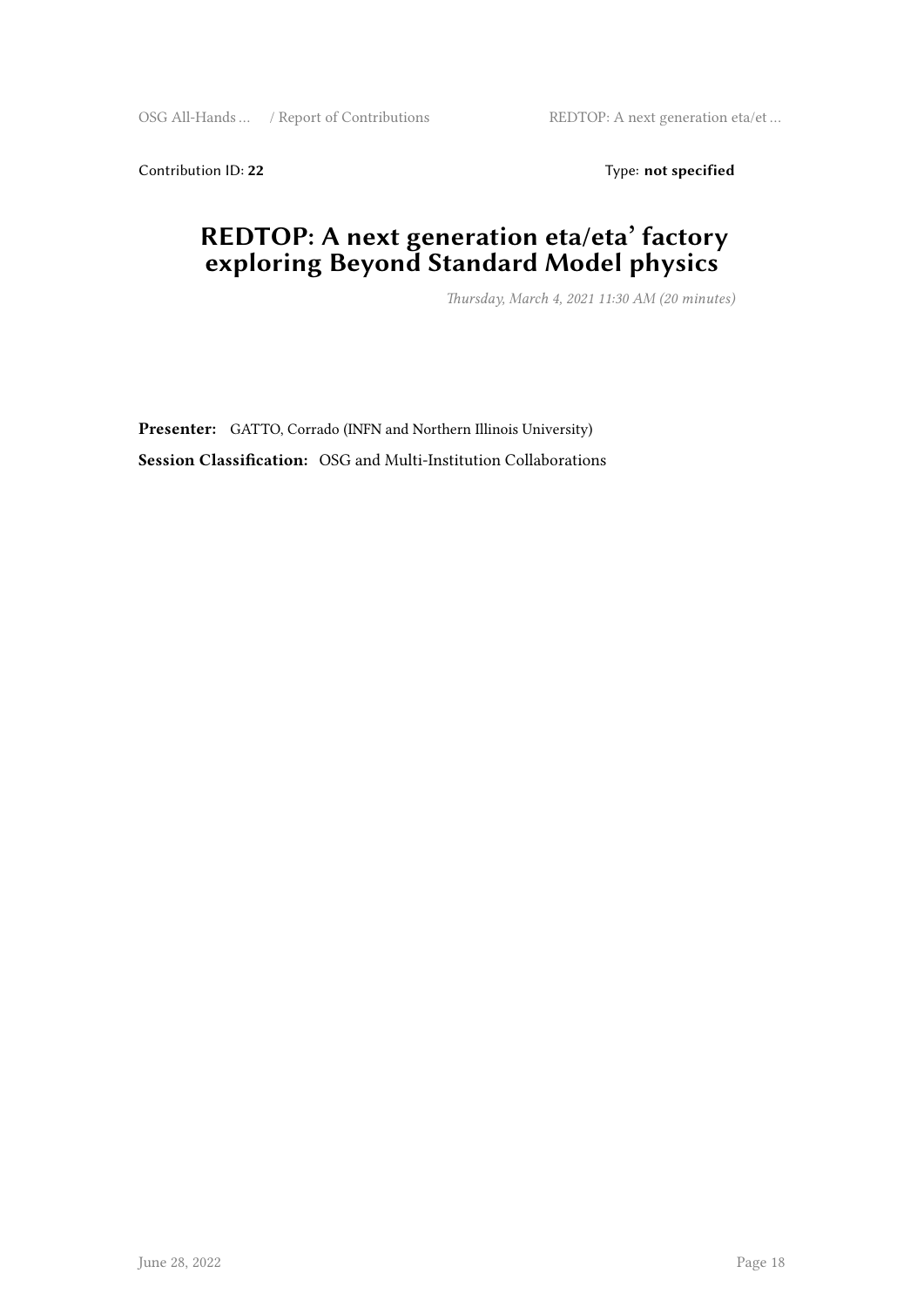Contribution ID: 22 Type: **not specified** 

#### **REDTOP: A next generation eta/eta' factory exploring Beyond Standard Model physics**

*Thursday, March 4, 2021 11:30 AM (20 minutes)*

**Presenter:** GATTO, Corrado (INFN and Northern Illinois University) **Session Classification:** OSG and Multi-Institution Collaborations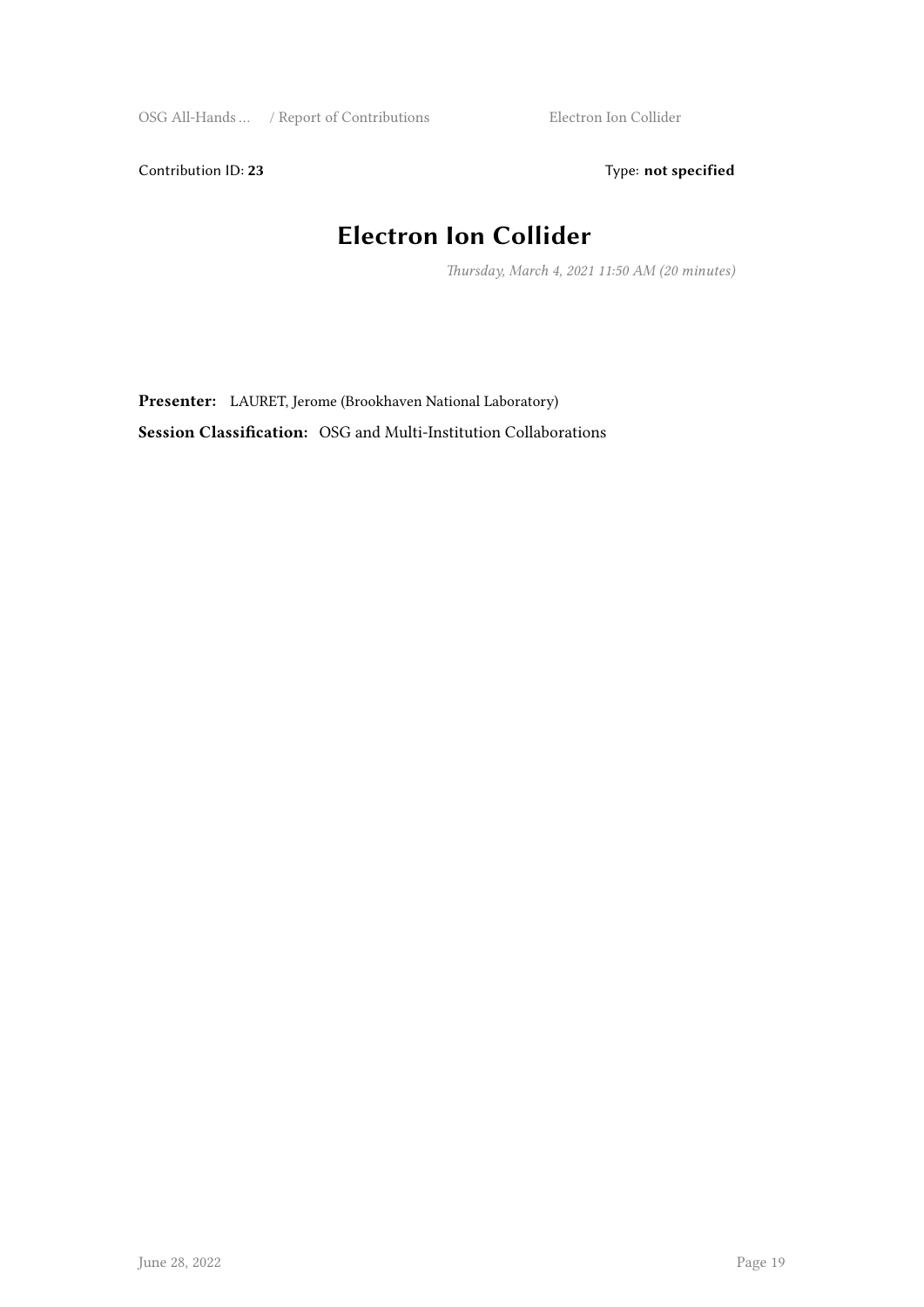Contribution ID: 23 Type: **not specified** 

## **Electron Ion Collider**

*Thursday, March 4, 2021 11:50 AM (20 minutes)*

**Presenter:** LAURET, Jerome (Brookhaven National Laboratory) **Session Classification:** OSG and Multi-Institution Collaborations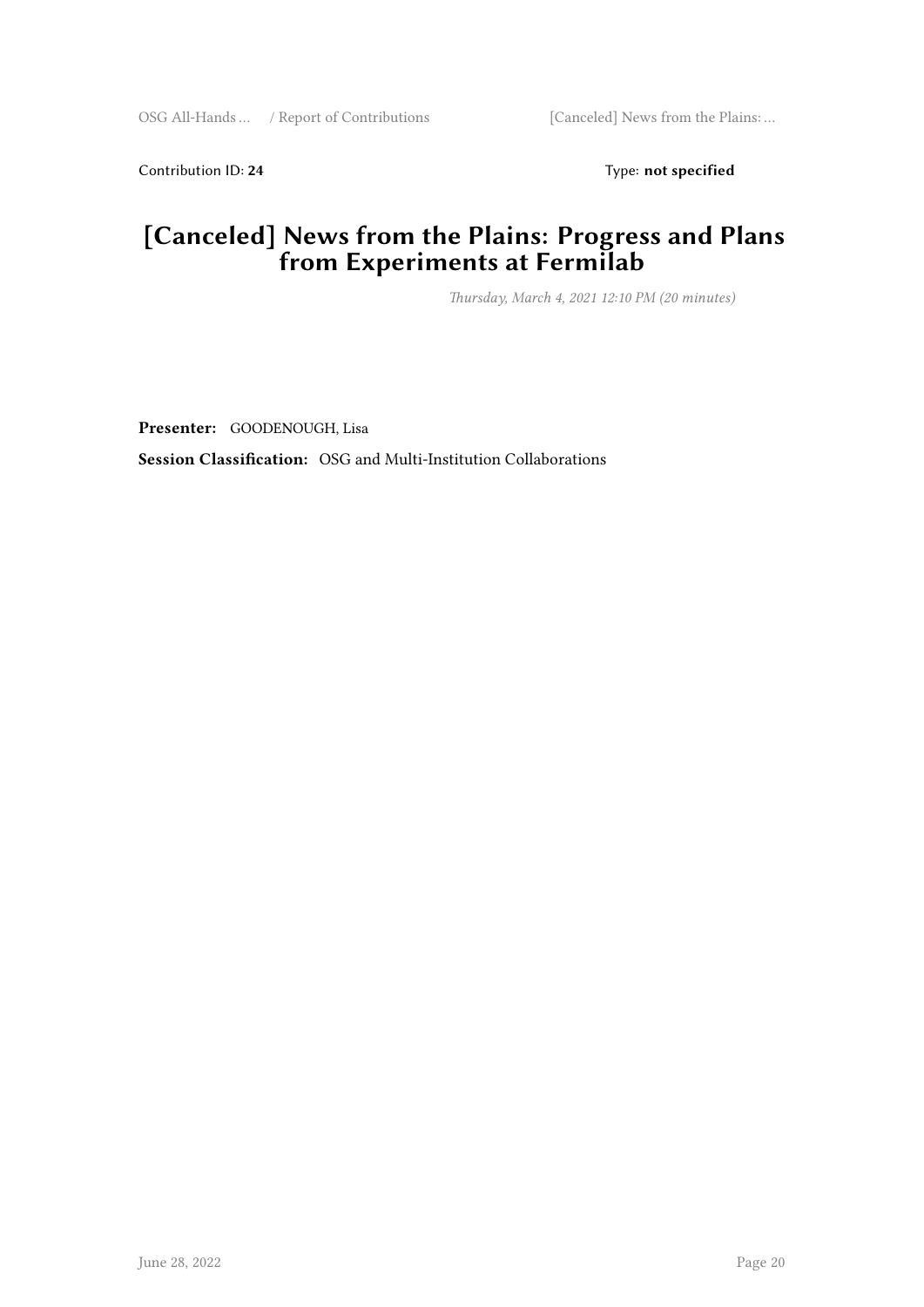Contribution ID: 24 Type: **not specified** 

#### **[Canceled] News from the Plains: Progress and Plans from Experiments at Fermilab**

*Thursday, March 4, 2021 12:10 PM (20 minutes)*

**Presenter:** GOODENOUGH, Lisa

**Session Classification:** OSG and Multi-Institution Collaborations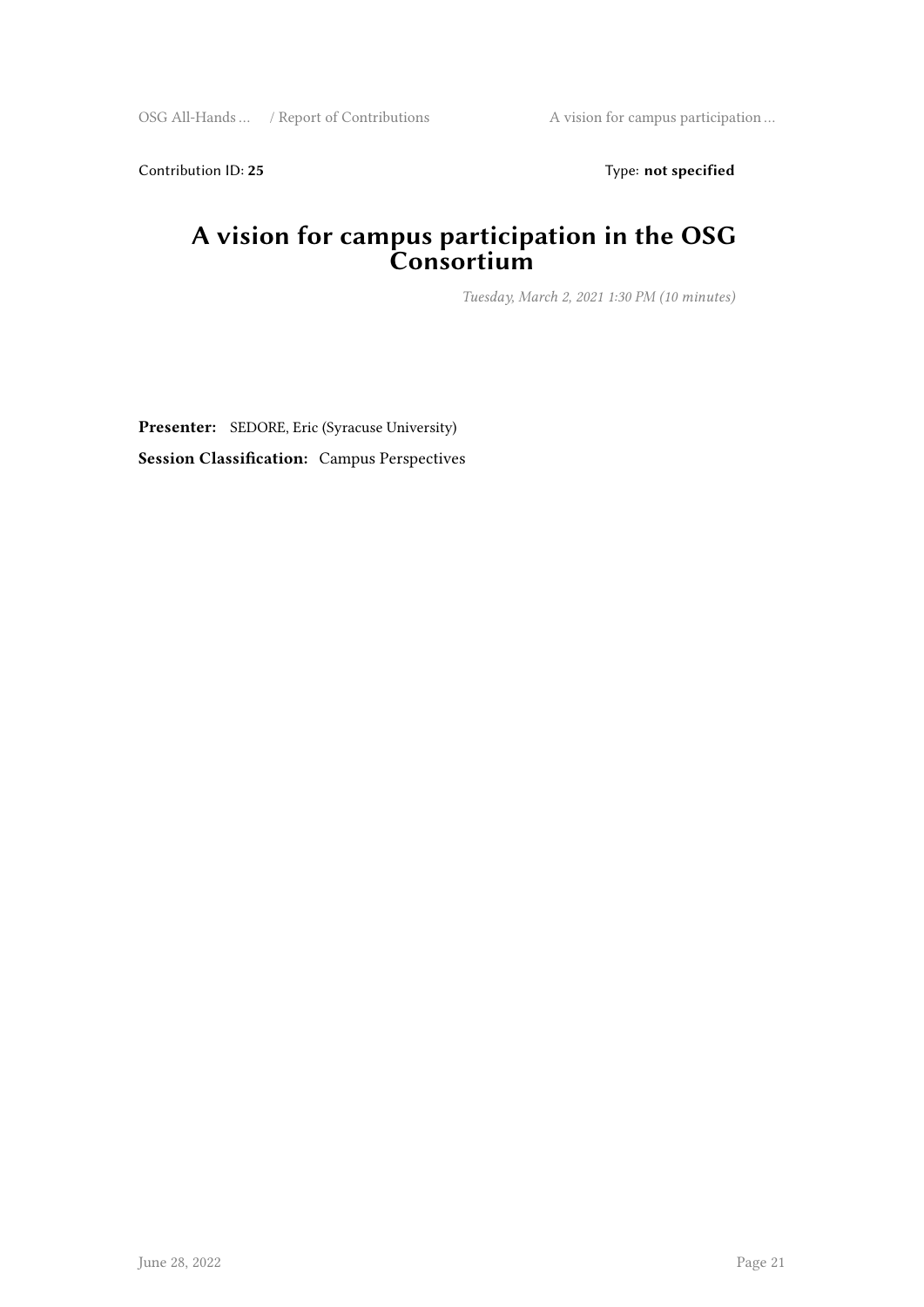Contribution ID: 25 Type: **not specified** 

#### **A vision for campus participation in the OSG Consortium**

*Tuesday, March 2, 2021 1:30 PM (10 minutes)*

**Presenter:** SEDORE, Eric (Syracuse University) **Session Classification:** Campus Perspectives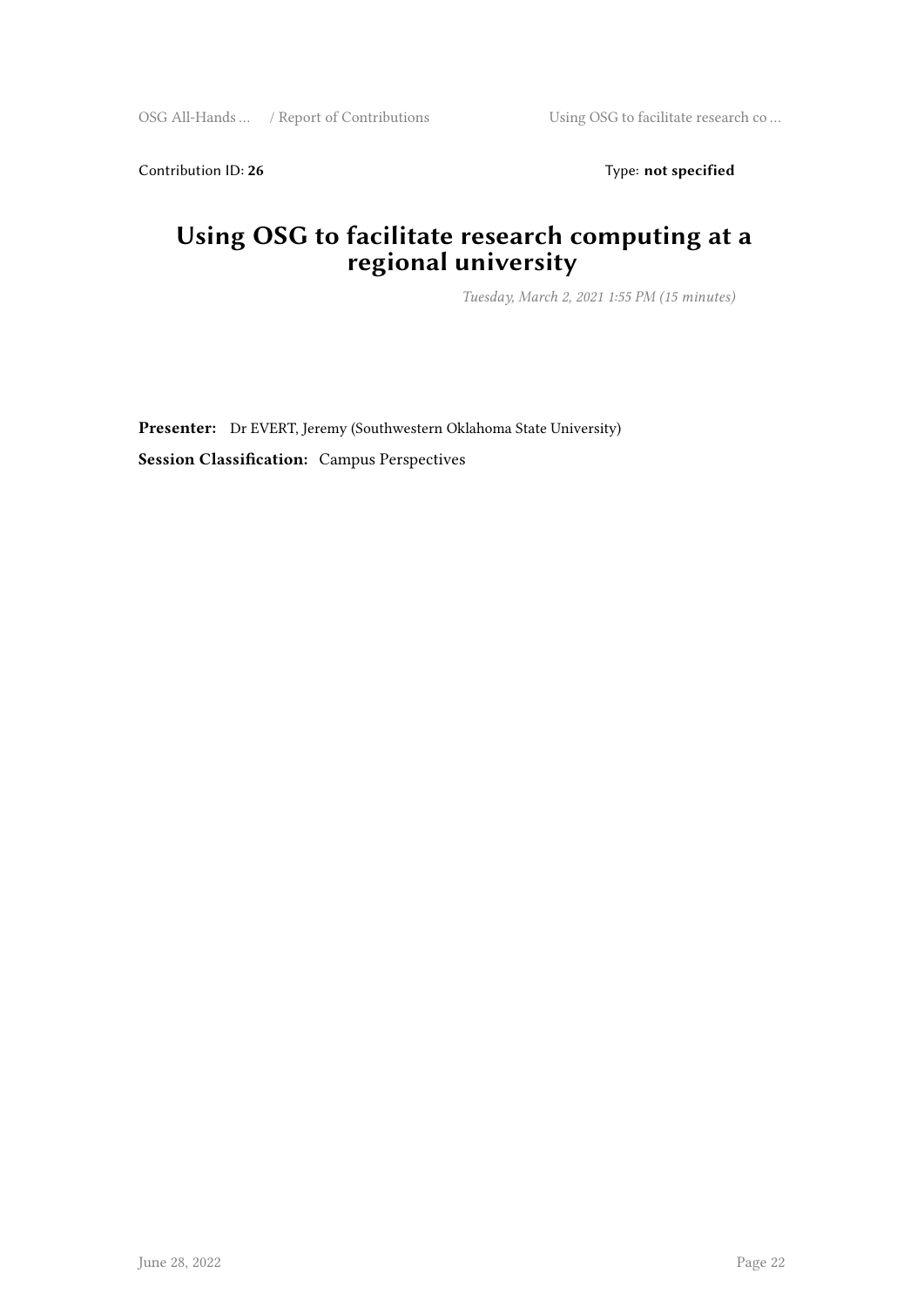Contribution ID: 26 Type: **not specified** 

#### **Using OSG to facilitate research computing at a regional university**

*Tuesday, March 2, 2021 1:55 PM (15 minutes)*

**Presenter:** Dr EVERT, Jeremy (Southwestern Oklahoma State University) **Session Classification:** Campus Perspectives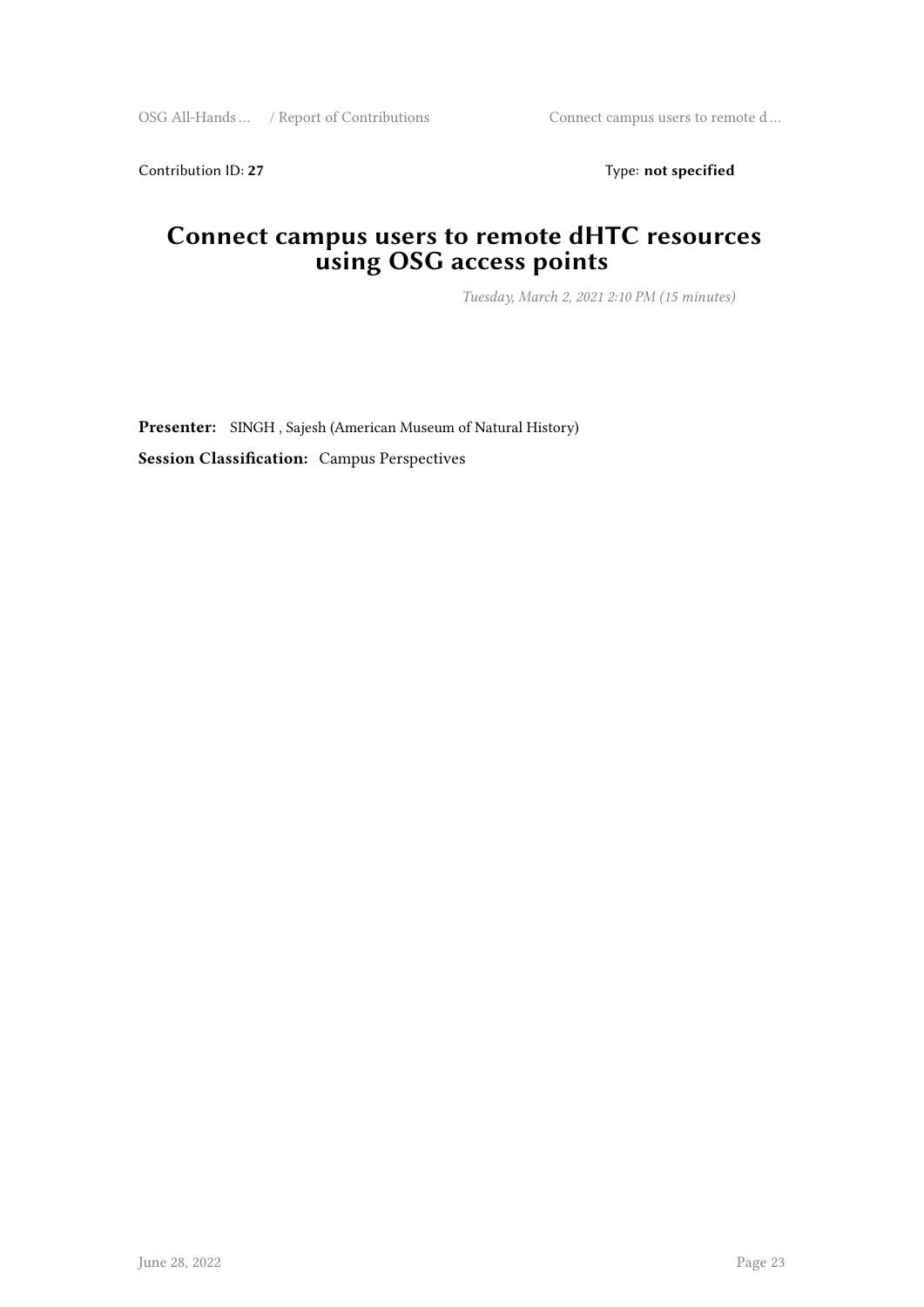Contribution ID: 27 Type: **not specified** 

#### **Connect campus users to remote dHTC resources using OSG access points**

*Tuesday, March 2, 2021 2:10 PM (15 minutes)*

**Presenter:** SINGH , Sajesh (American Museum of Natural History) **Session Classification:** Campus Perspectives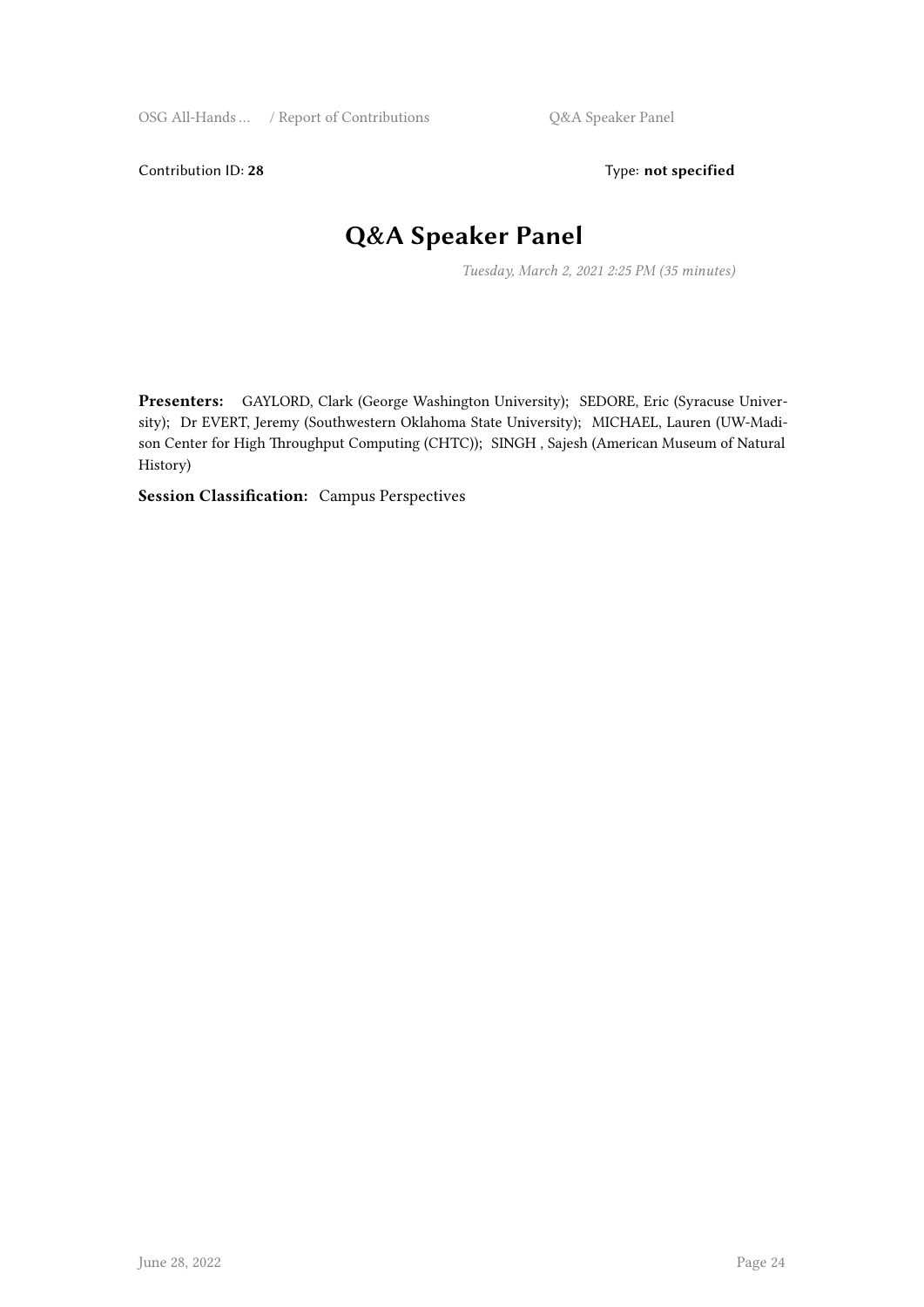Contribution ID: 28 Type: **not specified** 

#### **Q&A Speaker Panel**

*Tuesday, March 2, 2021 2:25 PM (35 minutes)*

**Presenters:** GAYLORD, Clark (George Washington University); SEDORE, Eric (Syracuse University); Dr EVERT, Jeremy (Southwestern Oklahoma State University); MICHAEL, Lauren (UW-Madison Center for High Throughput Computing (CHTC)); SINGH , Sajesh (American Museum of Natural History)

**Session Classification:** Campus Perspectives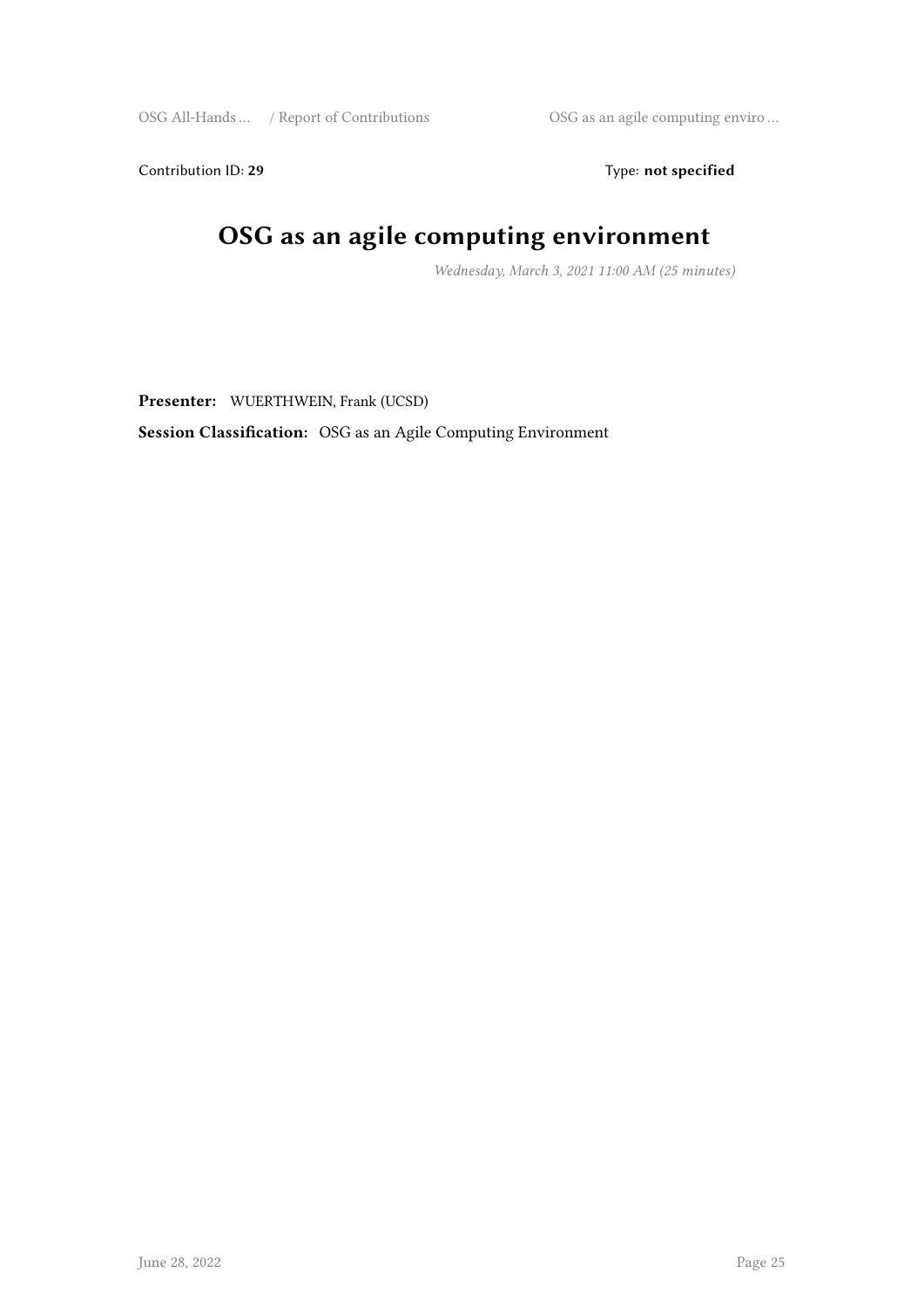Contribution ID: 29 Type: **not specified** 

## **OSG as an agile computing environment**

*Wednesday, March 3, 2021 11:00 AM (25 minutes)*

**Presenter:** WUERTHWEIN, Frank (UCSD)

**Session Classification:** OSG as an Agile Computing Environment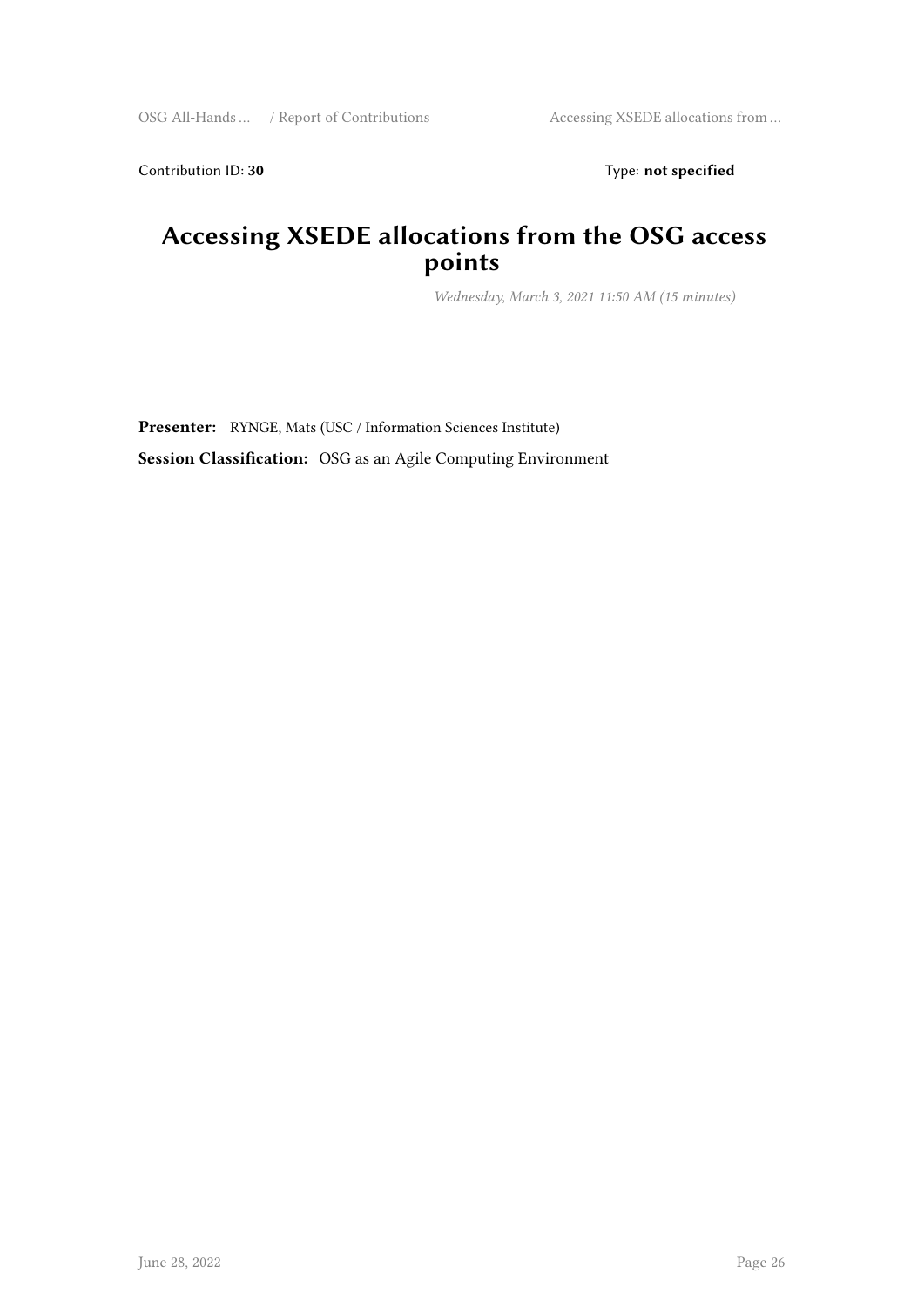Contribution ID: 30 Type: **not specified** 

#### **Accessing XSEDE allocations from the OSG access points**

*Wednesday, March 3, 2021 11:50 AM (15 minutes)*

**Presenter:** RYNGE, Mats (USC / Information Sciences Institute) **Session Classification:** OSG as an Agile Computing Environment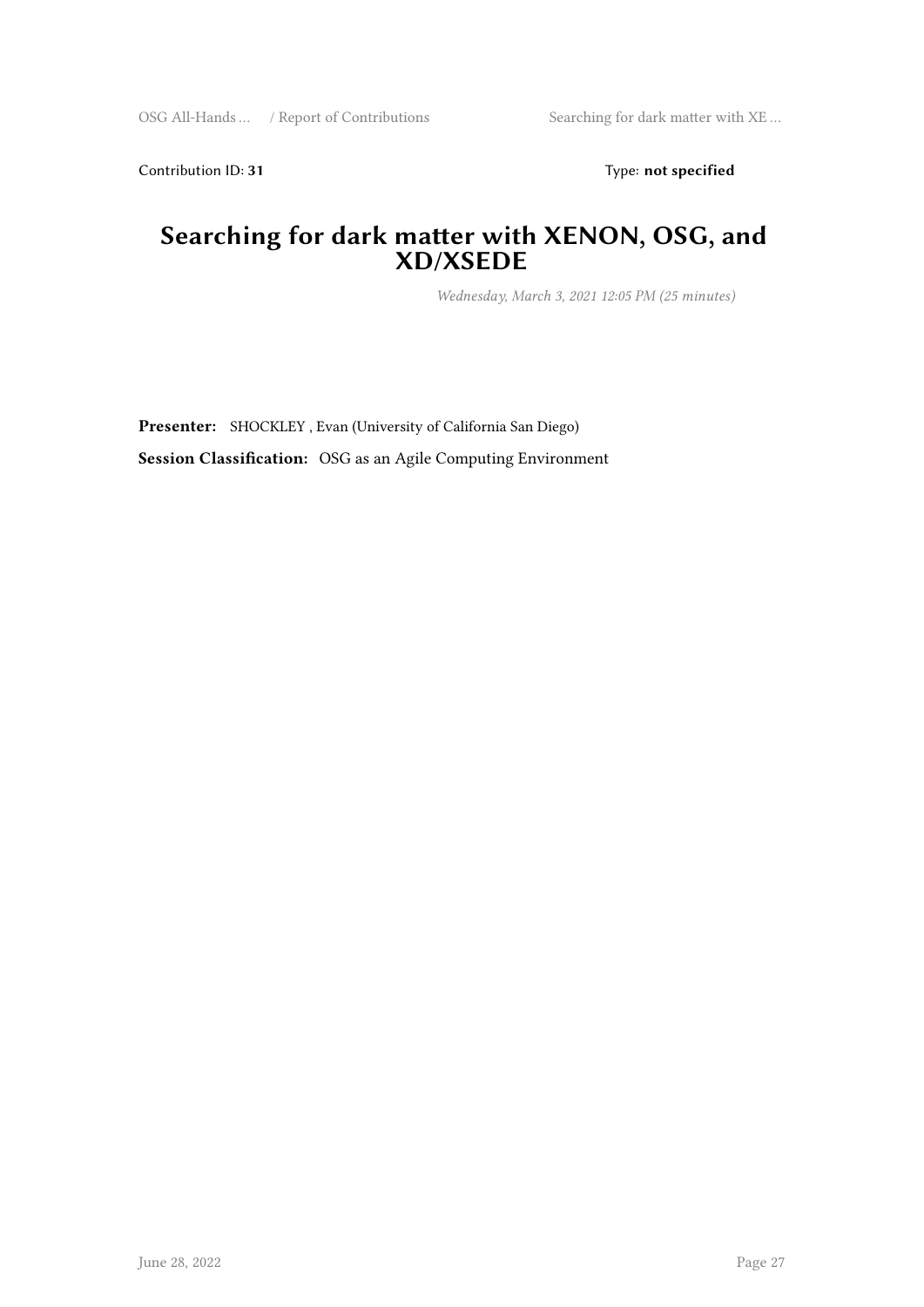Contribution ID: 31 Type: **not specified** 

#### **Searching for dark matter with XENON, OSG, and XD/XSEDE**

*Wednesday, March 3, 2021 12:05 PM (25 minutes)*

**Presenter:** SHOCKLEY , Evan (University of California San Diego) **Session Classification:** OSG as an Agile Computing Environment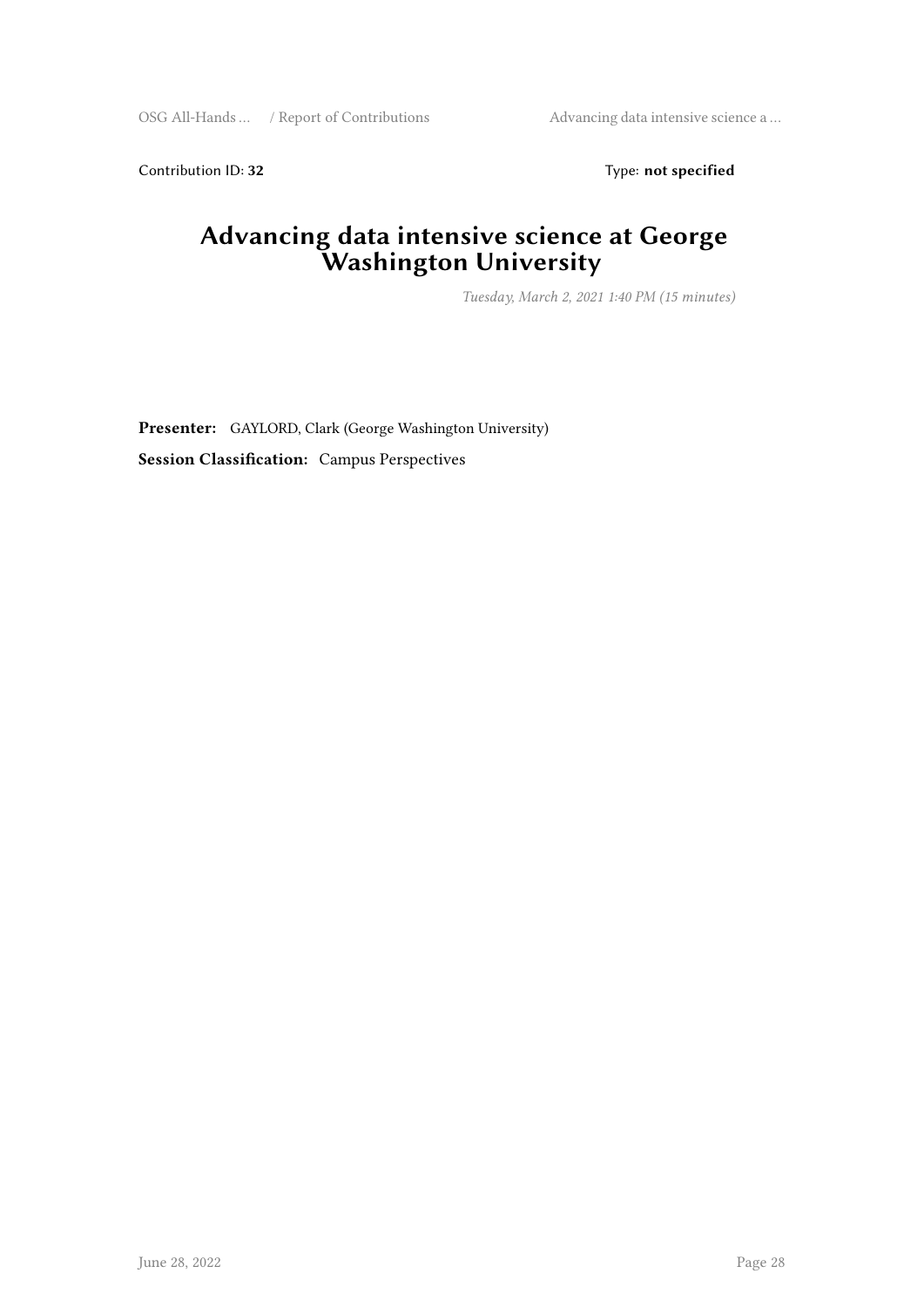Contribution ID: 32 Type: **not specified** 

#### **Advancing data intensive science at George Washington University**

*Tuesday, March 2, 2021 1:40 PM (15 minutes)*

**Presenter:** GAYLORD, Clark (George Washington University) **Session Classification:** Campus Perspectives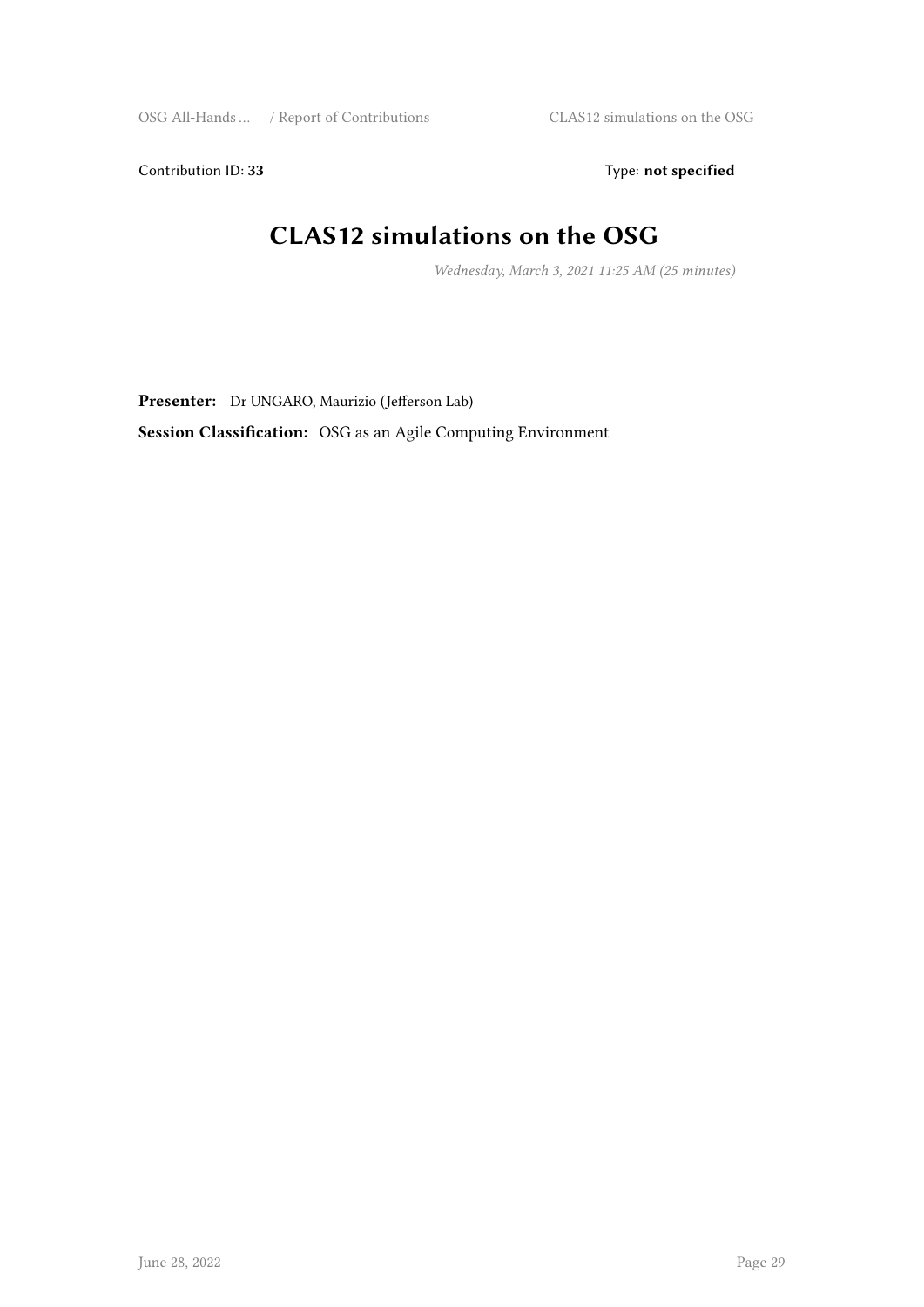Contribution ID: 33 Type: **not specified** 

## **CLAS12 simulations on the OSG**

*Wednesday, March 3, 2021 11:25 AM (25 minutes)*

**Presenter:** Dr UNGARO, Maurizio (Jefferson Lab)

**Session Classification:** OSG as an Agile Computing Environment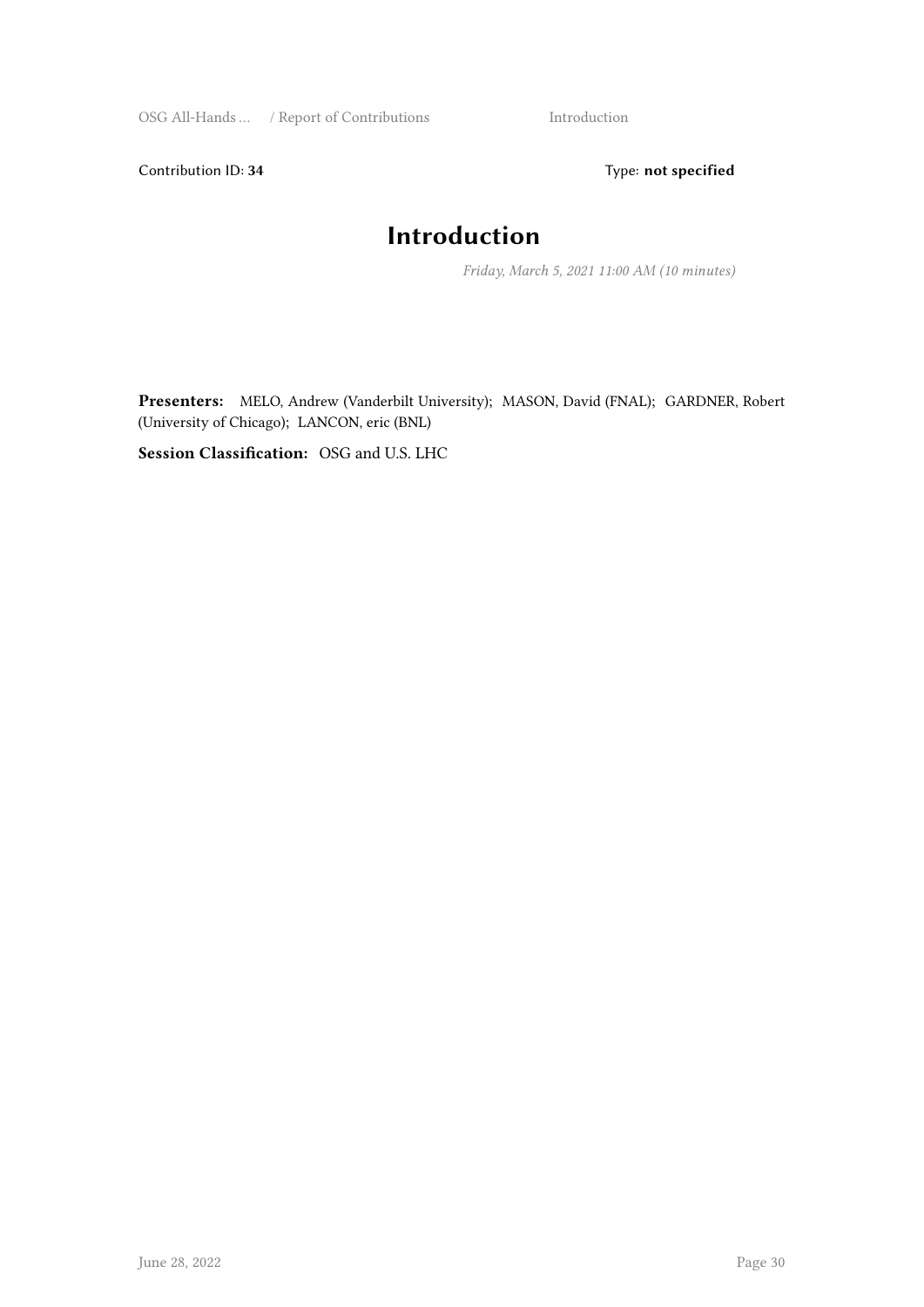Contribution ID: 34 Type: **not specified** 

#### **Introduction**

*Friday, March 5, 2021 11:00 AM (10 minutes)*

**Presenters:** MELO, Andrew (Vanderbilt University); MASON, David (FNAL); GARDNER, Robert (University of Chicago); LANCON, eric (BNL)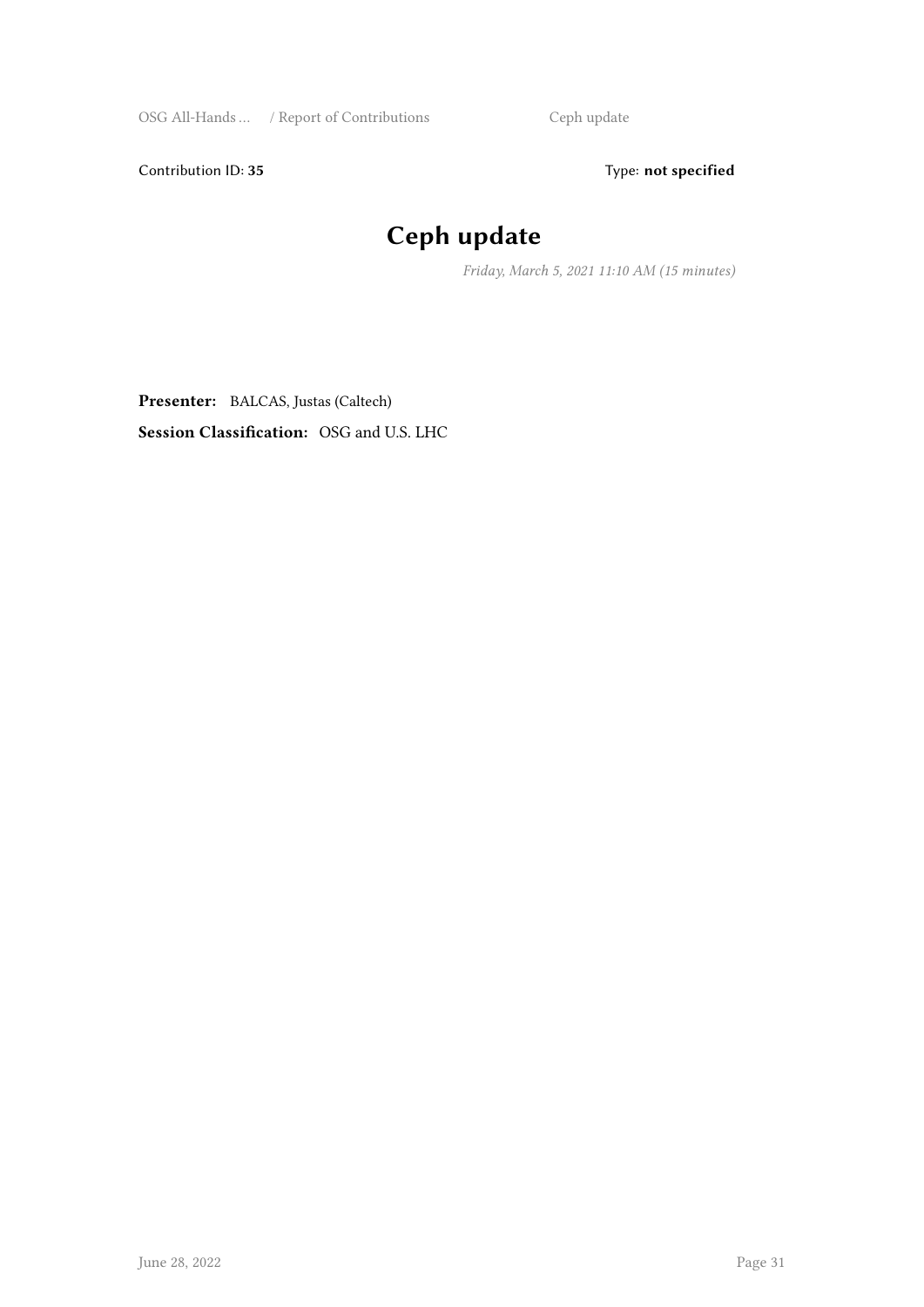Contribution ID: 35 Type: **not specified** 

## **Ceph update**

*Friday, March 5, 2021 11:10 AM (15 minutes)*

**Presenter:** BALCAS, Justas (Caltech) **Session Classification:** OSG and U.S. LHC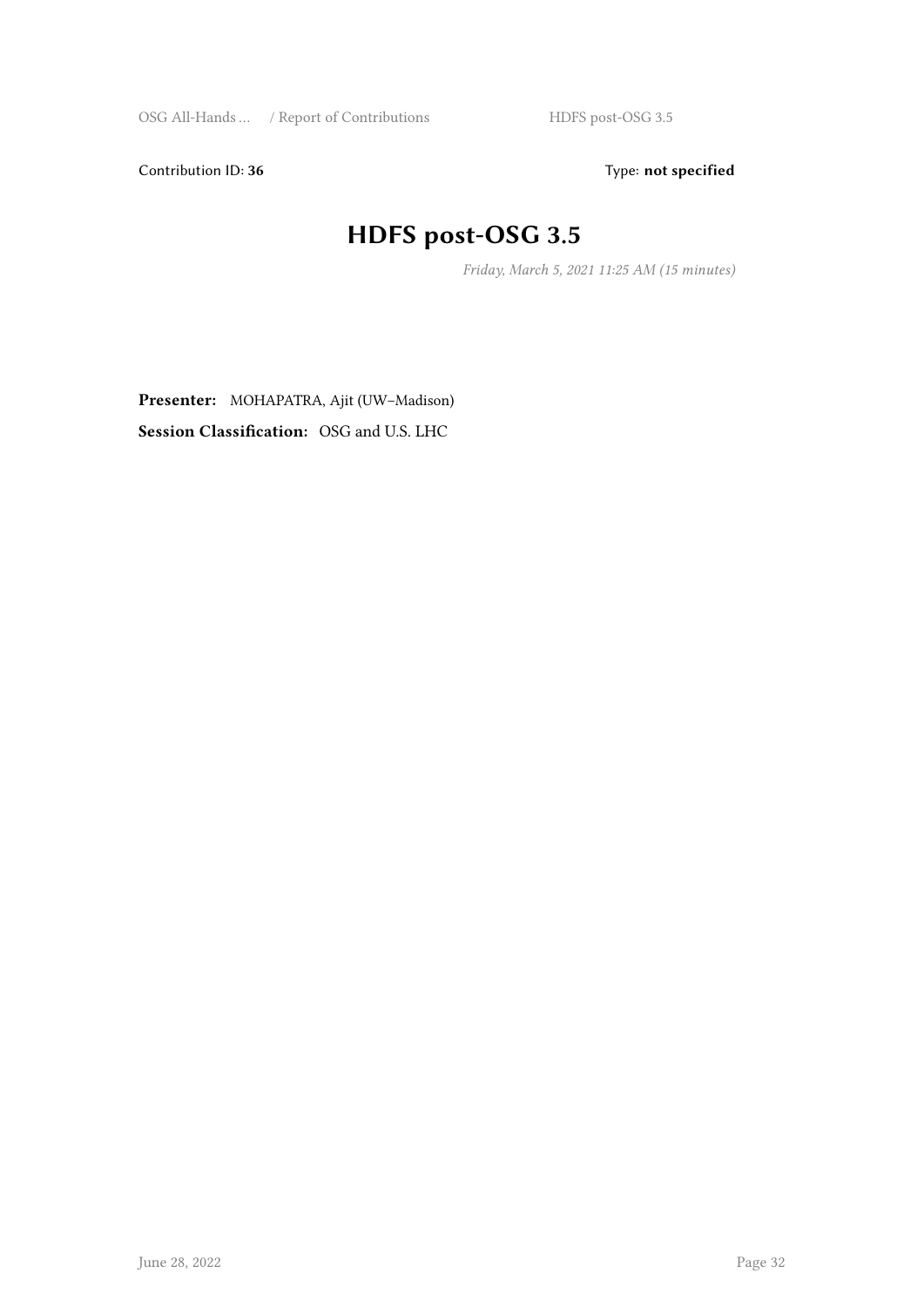Contribution ID: 36 Type: **not specified** 

## **HDFS post-OSG 3.5**

*Friday, March 5, 2021 11:25 AM (15 minutes)*

**Presenter:** MOHAPATRA, Ajit (UW–Madison)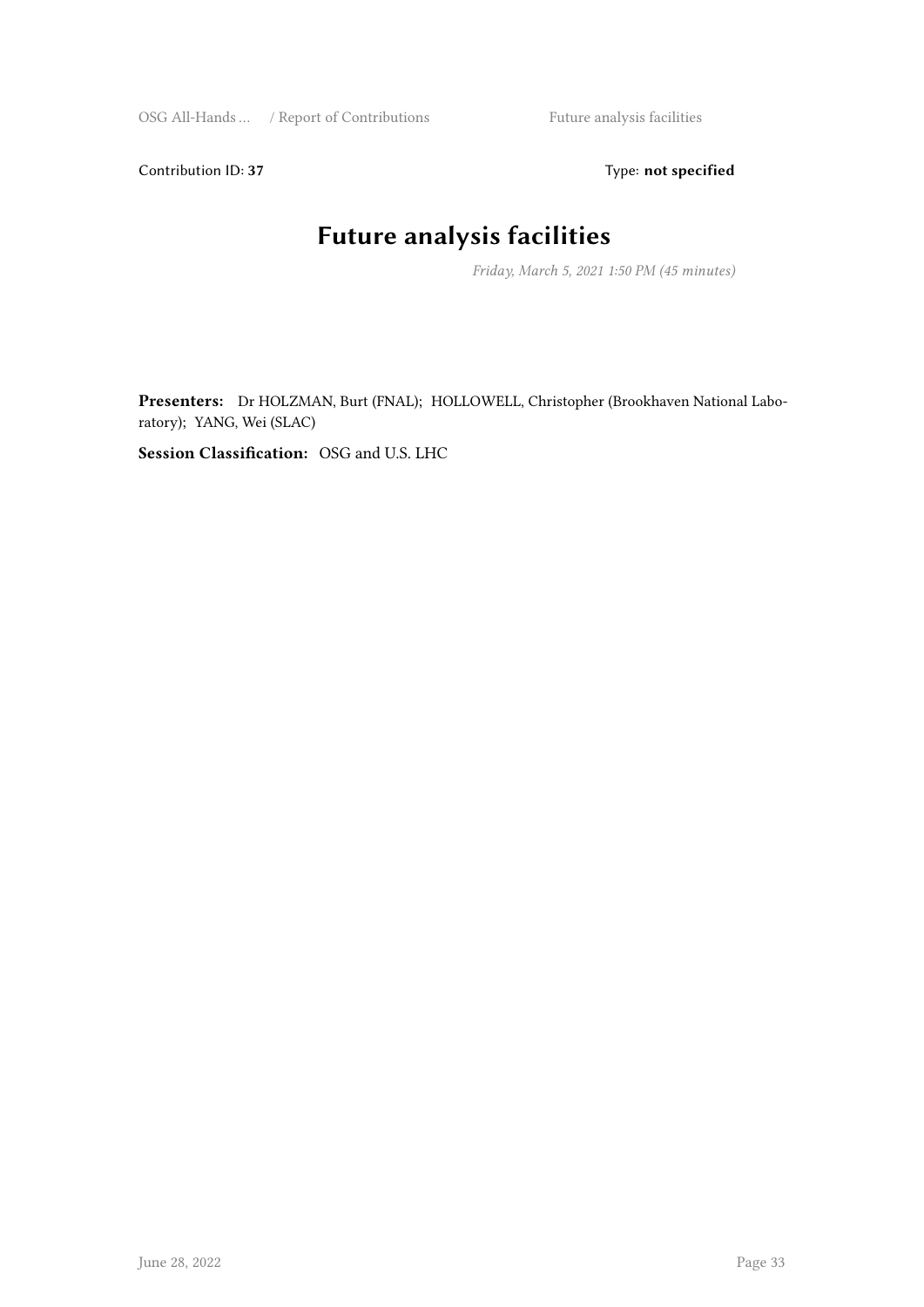Contribution ID: 37 Type: **not specified** 

## **Future analysis facilities**

*Friday, March 5, 2021 1:50 PM (45 minutes)*

**Presenters:** Dr HOLZMAN, Burt (FNAL); HOLLOWELL, Christopher (Brookhaven National Laboratory); YANG, Wei (SLAC)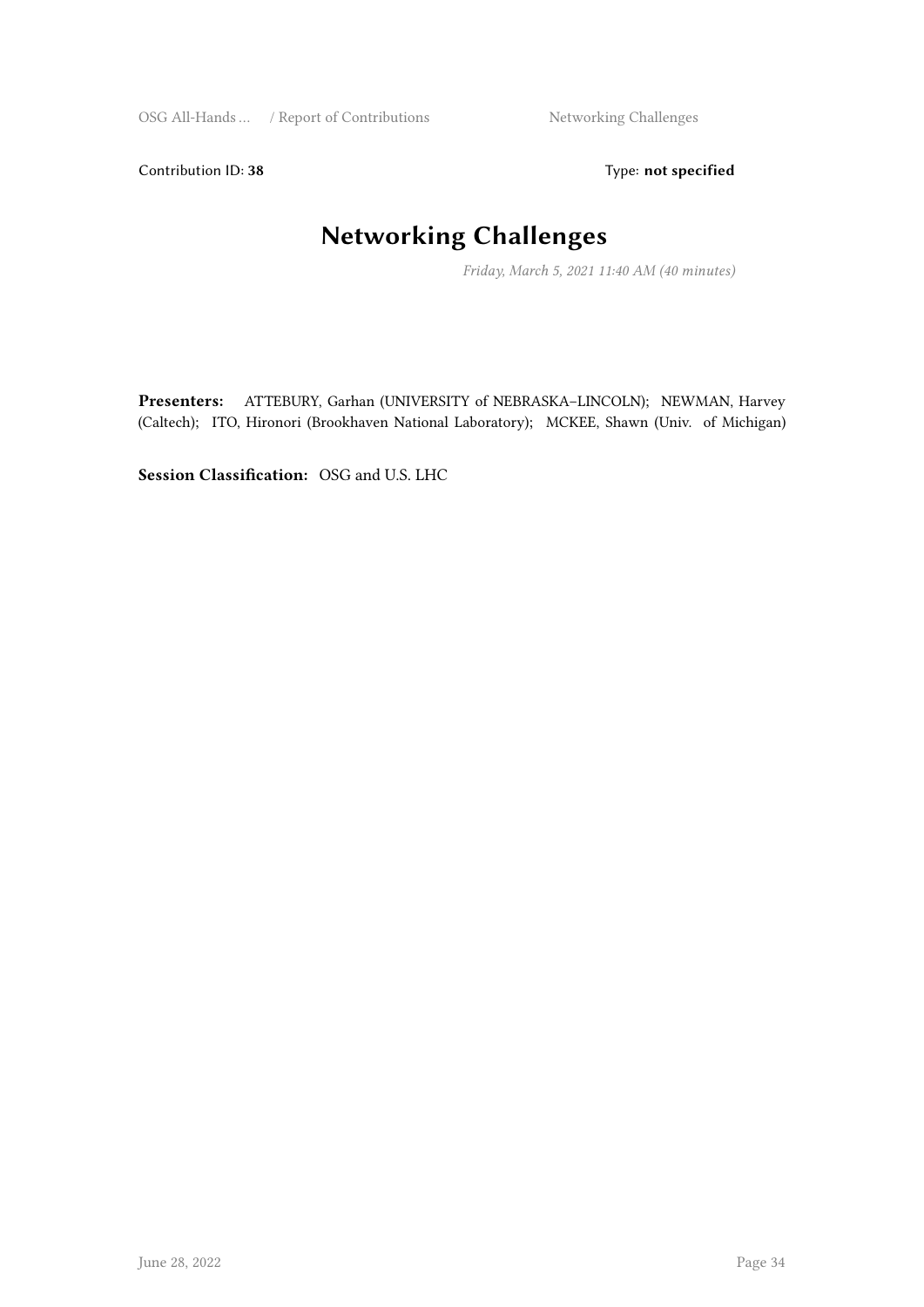Contribution ID: 38 Type: **not specified** 

## **Networking Challenges**

*Friday, March 5, 2021 11:40 AM (40 minutes)*

**Presenters:** ATTEBURY, Garhan (UNIVERSITY of NEBRASKA–LINCOLN); NEWMAN, Harvey (Caltech); ITO, Hironori (Brookhaven National Laboratory); MCKEE, Shawn (Univ. of Michigan)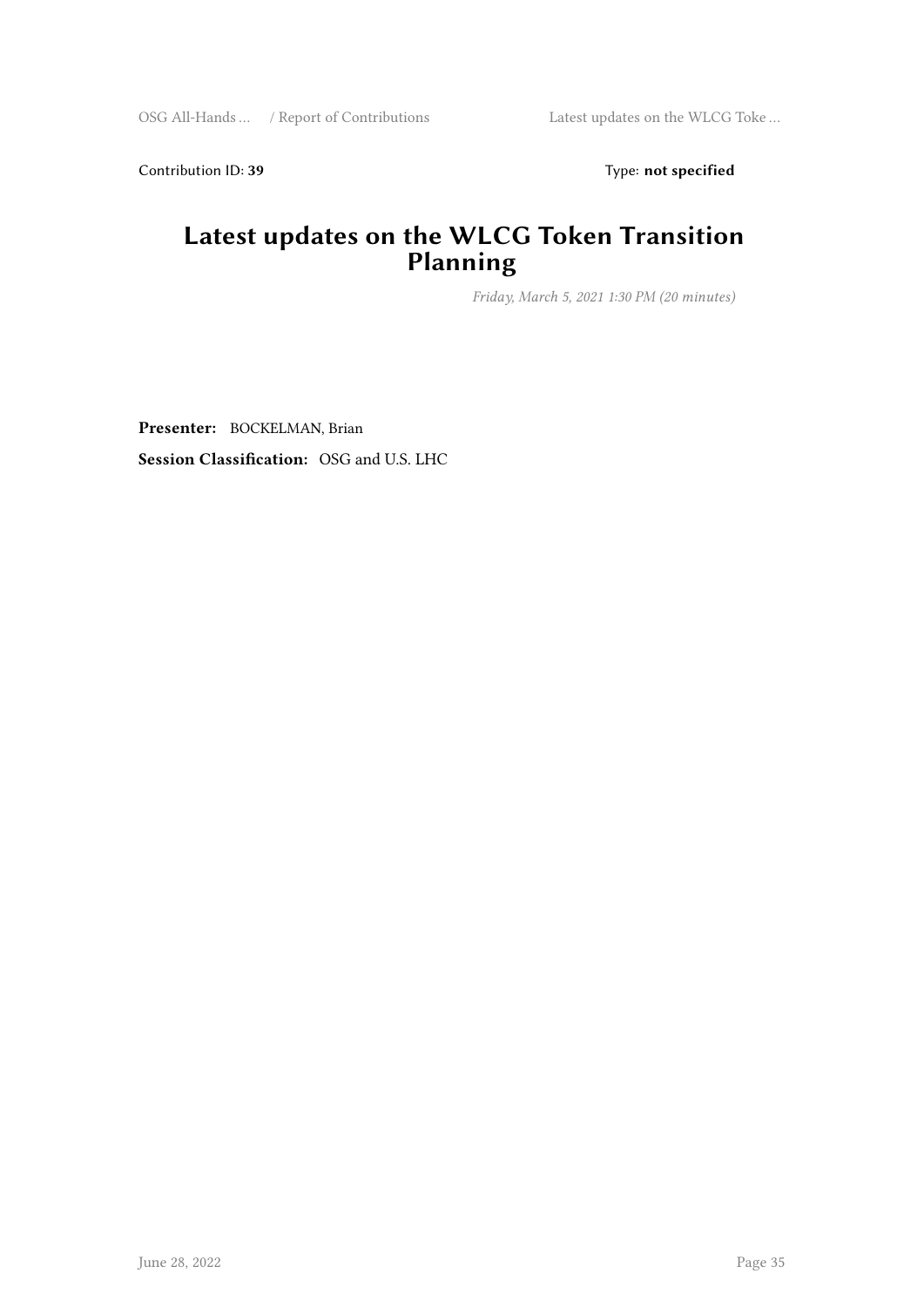Contribution ID: 39 Type: **not specified** 

#### **Latest updates on the WLCG Token Transition Planning**

*Friday, March 5, 2021 1:30 PM (20 minutes)*

**Presenter:** BOCKELMAN, Brian **Session Classification:** OSG and U.S. LHC